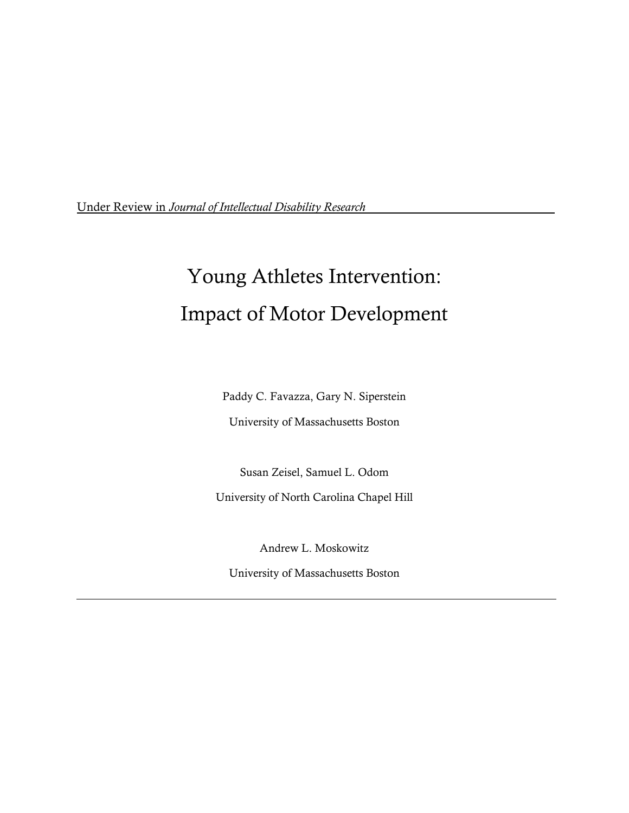Under Review in *Journal of Intellectual Disability Research*

# Young Athletes Intervention: Impact of Motor Development

Paddy C. Favazza, Gary N. Siperstein

University of Massachusetts Boston

Susan Zeisel, Samuel L. Odom

University of North Carolina Chapel Hill

Andrew L. Moskowitz

University of Massachusetts Boston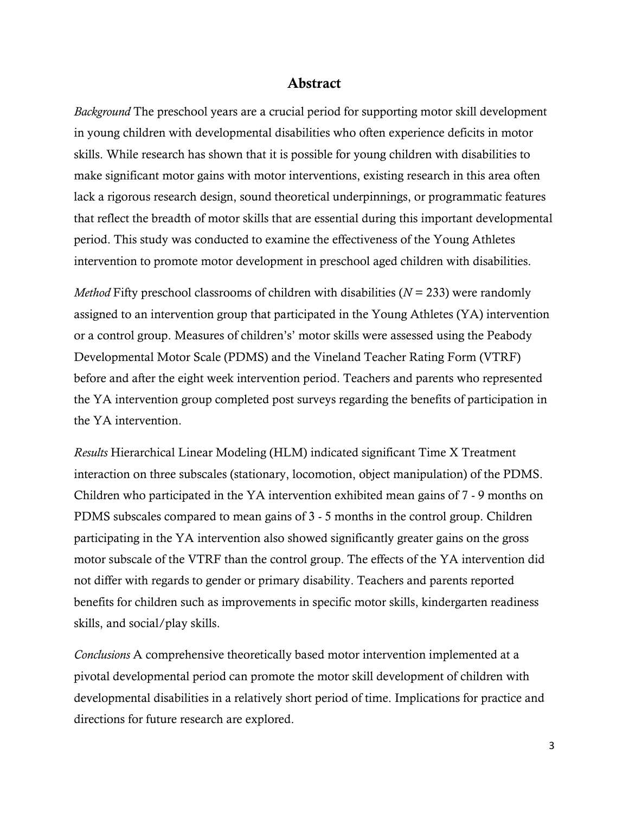### **Abstract**

*Background* The preschool years are a crucial period for supporting motor skill development in young children with developmental disabilities who often experience deficits in motor skills. While research has shown that it is possible for young children with disabilities to make significant motor gains with motor interventions, existing research in this area often lack a rigorous research design, sound theoretical underpinnings, or programmatic features that reflect the breadth of motor skills that are essential during this important developmental period. This study was conducted to examine the effectiveness of the Young Athletes intervention to promote motor development in preschool aged children with disabilities.

*Method* Fifty preschool classrooms of children with disabilities (*N* = 233) were randomly assigned to an intervention group that participated in the Young Athletes (YA) intervention or a control group. Measures of children"s" motor skills were assessed using the Peabody Developmental Motor Scale (PDMS) and the Vineland Teacher Rating Form (VTRF) before and after the eight week intervention period. Teachers and parents who represented the YA intervention group completed post surveys regarding the benefits of participation in the YA intervention.

*Results* Hierarchical Linear Modeling (HLM) indicated significant Time X Treatment interaction on three subscales (stationary, locomotion, object manipulation) of the PDMS. Children who participated in the YA intervention exhibited mean gains of 7 - 9 months on PDMS subscales compared to mean gains of 3 - 5 months in the control group. Children participating in the YA intervention also showed significantly greater gains on the gross motor subscale of the VTRF than the control group. The effects of the YA intervention did not differ with regards to gender or primary disability. Teachers and parents reported benefits for children such as improvements in specific motor skills, kindergarten readiness skills, and social/play skills.

*Conclusions* A comprehensive theoretically based motor intervention implemented at a pivotal developmental period can promote the motor skill development of children with developmental disabilities in a relatively short period of time. Implications for practice and directions for future research are explored.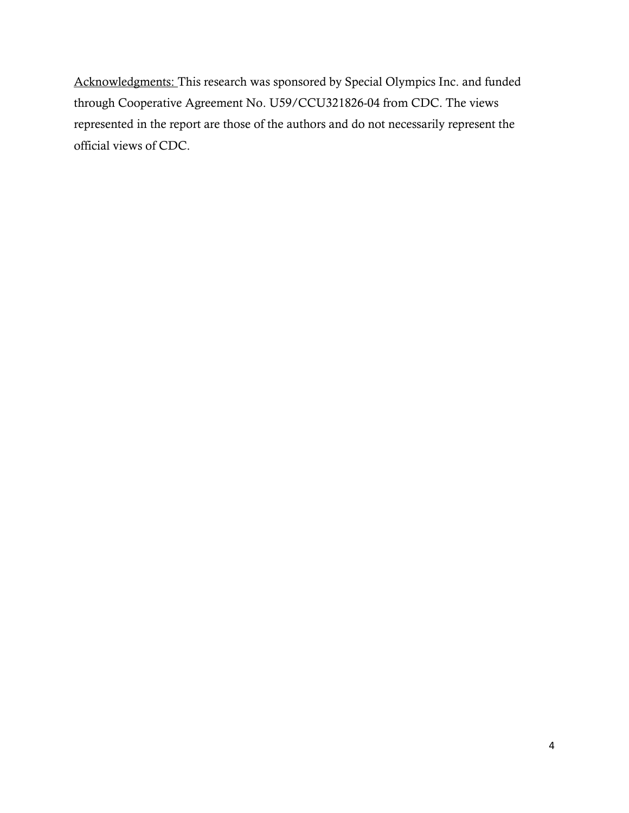Acknowledgments: This research was sponsored by Special Olympics Inc. and funded through Cooperative Agreement No. U59/CCU321826-04 from CDC. The views represented in the report are those of the authors and do not necessarily represent the official views of CDC.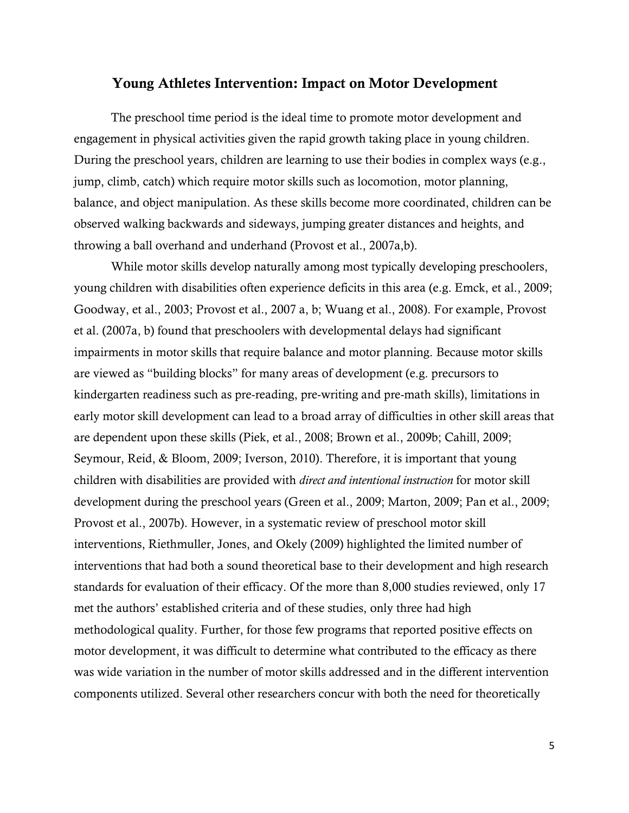# **Young Athletes Intervention: Impact on Motor Development**

The preschool time period is the ideal time to promote motor development and engagement in physical activities given the rapid growth taking place in young children. During the preschool years, children are learning to use their bodies in complex ways (e.g., jump, climb, catch) which require motor skills such as locomotion, motor planning, balance, and object manipulation. As these skills become more coordinated, children can be observed walking backwards and sideways, jumping greater distances and heights, and throwing a ball overhand and underhand (Provost et al., 2007a,b).

While motor skills develop naturally among most typically developing preschoolers, young children with disabilities often experience deficits in this area (e.g. Emck, et al., 2009; Goodway, et al., 2003; Provost et al., 2007 a, b; Wuang et al., 2008). For example, Provost et al. (2007a, b) found that preschoolers with developmental delays had significant impairments in motor skills that require balance and motor planning. Because motor skills are viewed as "building blocks" for many areas of development (e.g. precursors to kindergarten readiness such as pre-reading, pre-writing and pre-math skills), limitations in early motor skill development can lead to a broad array of difficulties in other skill areas that are dependent upon these skills (Piek, et al., 2008; Brown et al., 2009b; Cahill, 2009; Seymour, Reid, & Bloom, 2009; Iverson, 2010). Therefore, it is important that young children with disabilities are provided with *direct and intentional instruction* for motor skill development during the preschool years (Green et al., 2009; Marton, 2009; Pan et al., 2009; Provost et al., 2007b). However, in a systematic review of preschool motor skill interventions, Riethmuller, Jones, and Okely (2009) highlighted the limited number of interventions that had both a sound theoretical base to their development and high research standards for evaluation of their efficacy. Of the more than 8,000 studies reviewed, only 17 met the authors' established criteria and of these studies, only three had high methodological quality. Further, for those few programs that reported positive effects on motor development, it was difficult to determine what contributed to the efficacy as there was wide variation in the number of motor skills addressed and in the different intervention components utilized. Several other researchers concur with both the need for theoretically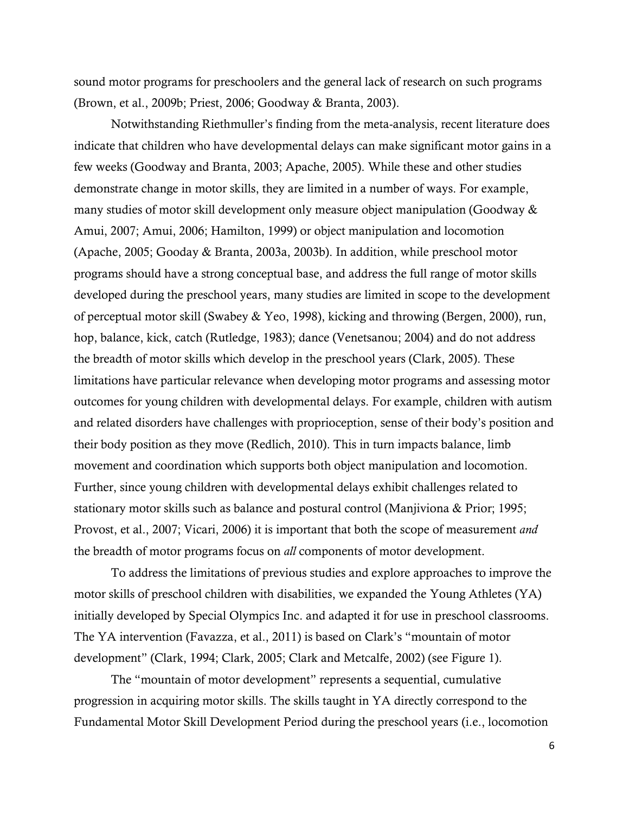sound motor programs for preschoolers and the general lack of research on such programs (Brown, et al., 2009b; Priest, 2006; Goodway & Branta, 2003).

Notwithstanding Riethmuller"s finding from the meta-analysis, recent literature does indicate that children who have developmental delays can make significant motor gains in a few weeks (Goodway and Branta, 2003; Apache, 2005). While these and other studies demonstrate change in motor skills, they are limited in a number of ways. For example, many studies of motor skill development only measure object manipulation (Goodway & Amui, 2007; Amui, 2006; Hamilton, 1999) or object manipulation and locomotion (Apache, 2005; Gooday & Branta, 2003a, 2003b). In addition, while preschool motor programs should have a strong conceptual base, and address the full range of motor skills developed during the preschool years, many studies are limited in scope to the development of perceptual motor skill (Swabey & Yeo, 1998), kicking and throwing (Bergen, 2000), run, hop, balance, kick, catch (Rutledge, 1983); dance (Venetsanou; 2004) and do not address the breadth of motor skills which develop in the preschool years (Clark, 2005). These limitations have particular relevance when developing motor programs and assessing motor outcomes for young children with developmental delays. For example, children with autism and related disorders have challenges with proprioception, sense of their body"s position and their body position as they move (Redlich, 2010). This in turn impacts balance, limb movement and coordination which supports both object manipulation and locomotion. Further, since young children with developmental delays exhibit challenges related to stationary motor skills such as balance and postural control (Manjiviona & Prior; 1995; Provost, et al., 2007; Vicari, 2006) it is important that both the scope of measurement *and* the breadth of motor programs focus on *all* components of motor development.

To address the limitations of previous studies and explore approaches to improve the motor skills of preschool children with disabilities, we expanded the Young Athletes (YA) initially developed by Special Olympics Inc. and adapted it for use in preschool classrooms. The YA intervention (Favazza, et al., 2011) is based on Clark"s "mountain of motor development" (Clark, 1994; Clark, 2005; Clark and Metcalfe, 2002) (see Figure 1).

The "mountain of motor development" represents a sequential, cumulative progression in acquiring motor skills. The skills taught in YA directly correspond to the Fundamental Motor Skill Development Period during the preschool years (i.e., locomotion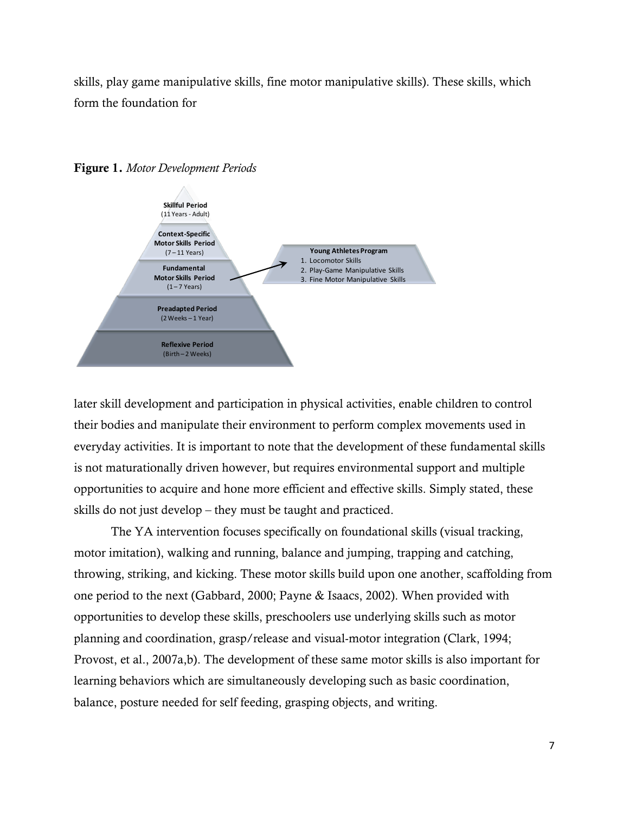skills, play game manipulative skills, fine motor manipulative skills). These skills, which form the foundation for



**Figure 1.** *Motor Development Periods*

later skill development and participation in physical activities, enable children to control their bodies and manipulate their environment to perform complex movements used in everyday activities. It is important to note that the development of these fundamental skills is not maturationally driven however, but requires environmental support and multiple opportunities to acquire and hone more efficient and effective skills. Simply stated, these skills do not just develop – they must be taught and practiced.

The YA intervention focuses specifically on foundational skills (visual tracking, motor imitation), walking and running, balance and jumping, trapping and catching, throwing, striking, and kicking. These motor skills build upon one another, scaffolding from one period to the next (Gabbard, 2000; Payne & Isaacs, 2002). When provided with opportunities to develop these skills, preschoolers use underlying skills such as motor planning and coordination, grasp/release and visual-motor integration (Clark, 1994; Provost, et al., 2007a,b). The development of these same motor skills is also important for learning behaviors which are simultaneously developing such as basic coordination, balance, posture needed for self feeding, grasping objects, and writing.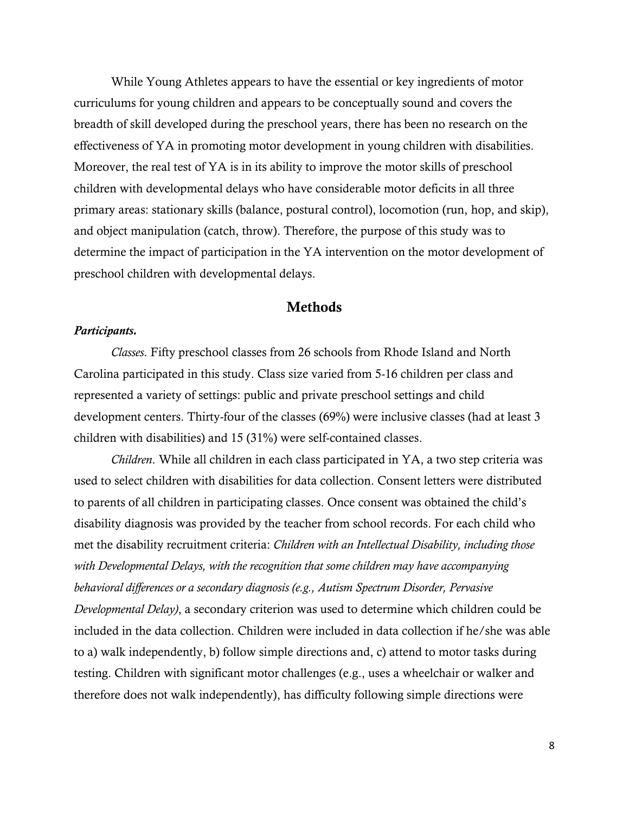While Young Athletes appears to have the essential or key ingredients of motor curriculums for young children and appears to be conceptually sound and covers the breadth of skill developed during the preschool years, there has been no research on the effectiveness of YA in promoting motor development in young children with disabilities. Moreover, the real test of YA is in its ability to improve the motor skills of preschool children with developmental delays who have considerable motor deficits in all three primary areas: stationary skills (balance, postural control), locomotion (run, hop, and skip), and object manipulation (catch, throw). Therefore, the purpose of this study was to determine the impact of participation in the YA intervention on the motor development of preschool children with developmental delays.

## **Methods**

#### *Participants.*

*Classes*. Fifty preschool classes from 26 schools from Rhode Island and North Carolina participated in this study. Class size varied from 5-16 children per class and represented a variety of settings: public and private preschool settings and child development centers. Thirty-four of the classes (69%) were inclusive classes (had at least 3 children with disabilities) and 15 (31%) were self-contained classes.

*Children*. While all children in each class participated in YA, a two step criteria was used to select children with disabilities for data collection. Consent letters were distributed to parents of all children in participating classes. Once consent was obtained the child"s disability diagnosis was provided by the teacher from school records. For each child who met the disability recruitment criteria: *Children with an Intellectual Disability, including those with Developmental Delays, with the recognition that some children may have accompanying behavioral differences or a secondary diagnosis (e.g., Autism Spectrum Disorder, Pervasive Developmental Delay)*, a secondary criterion was used to determine which children could be included in the data collection. Children were included in data collection if he/she was able to a) walk independently, b) follow simple directions and, c) attend to motor tasks during testing. Children with significant motor challenges (e.g., uses a wheelchair or walker and therefore does not walk independently), has difficulty following simple directions were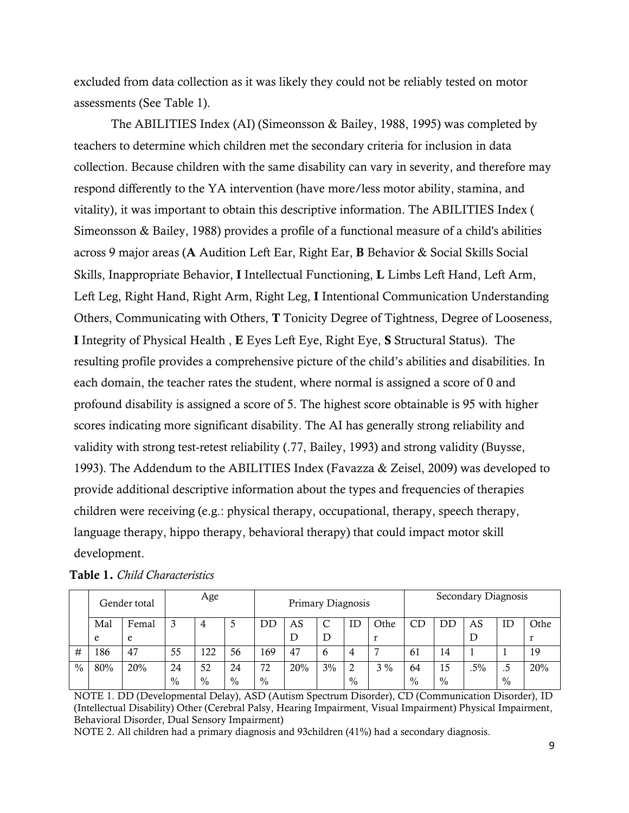excluded from data collection as it was likely they could not be reliably tested on motor assessments (See Table 1).

The ABILITIES Index (AI) (Simeonsson & Bailey, 1988, 1995) was completed by teachers to determine which children met the secondary criteria for inclusion in data collection. Because children with the same disability can vary in severity, and therefore may respond differently to the YA intervention (have more/less motor ability, stamina, and vitality), it was important to obtain this descriptive information. The ABILITIES Index ( Simeonsson & Bailey, 1988) provides a profile of a functional measure of a child's abilities across 9 major areas (**A** Audition Left Ear, Right Ear, **B** Behavior & Social Skills Social Skills, Inappropriate Behavior, **I** Intellectual Functioning, **L** Limbs Left Hand, Left Arm, Left Leg, Right Hand, Right Arm, Right Leg, **I** Intentional Communication Understanding Others, Communicating with Others, **T** Tonicity Degree of Tightness, Degree of Looseness, **I** Integrity of Physical Health , **E** Eyes Left Eye, Right Eye, **S** Structural Status). The resulting profile provides a comprehensive picture of the child"s abilities and disabilities. In each domain, the teacher rates the student, where normal is assigned a score of 0 and profound disability is assigned a score of 5. The highest score obtainable is 95 with higher scores indicating more significant disability. The AI has generally strong reliability and validity with strong test-retest reliability (.77, Bailey, 1993) and strong validity (Buysse, 1993). The Addendum to the ABILITIES Index (Favazza & Zeisel, 2009) was developed to provide additional descriptive information about the types and frequencies of therapies children were receiving (e.g.: physical therapy, occupational, therapy, speech therapy, language therapy, hippo therapy, behavioral therapy) that could impact motor skill development.

|      | Gender total |       | Age  |      | Primary Diagnosis |      |     |    | Secondary Diagnosis |       |               |               |        |               |      |
|------|--------------|-------|------|------|-------------------|------|-----|----|---------------------|-------|---------------|---------------|--------|---------------|------|
|      | Mal          | Femal |      | 4    |                   | DD   | AS  |    | ID                  | Othe  | CD            | DD            | AS     | IΕ            | Othe |
|      | e            | e     |      |      |                   |      | D   |    |                     |       |               |               |        |               |      |
| #    | 186          | 47    | 55   | 122  | 56                | 169  | 47  |    |                     | −     | 61            | 14            |        |               | 19   |
| $\%$ | 80%          | 20%   | 24   | 52   | 24                | 72   | 20% | 3% |                     | $3\%$ | 64            | 15            | $.5\%$ | ں ،           | 20%  |
|      |              |       | $\%$ | $\%$ | $\%$              | $\%$ |     |    | $\frac{0}{0}$       |       | $\frac{0}{0}$ | $\frac{0}{0}$ |        | $\frac{0}{0}$ |      |

|  | <b>Table 1. Child Characteristics</b> |
|--|---------------------------------------|
|  |                                       |

NOTE 1. DD (Developmental Delay), ASD (Autism Spectrum Disorder), CD (Communication Disorder), ID (Intellectual Disability) Other (Cerebral Palsy, Hearing Impairment, Visual Impairment) Physical Impairment, Behavioral Disorder, Dual Sensory Impairment)

NOTE 2. All children had a primary diagnosis and 93children (41%) had a secondary diagnosis.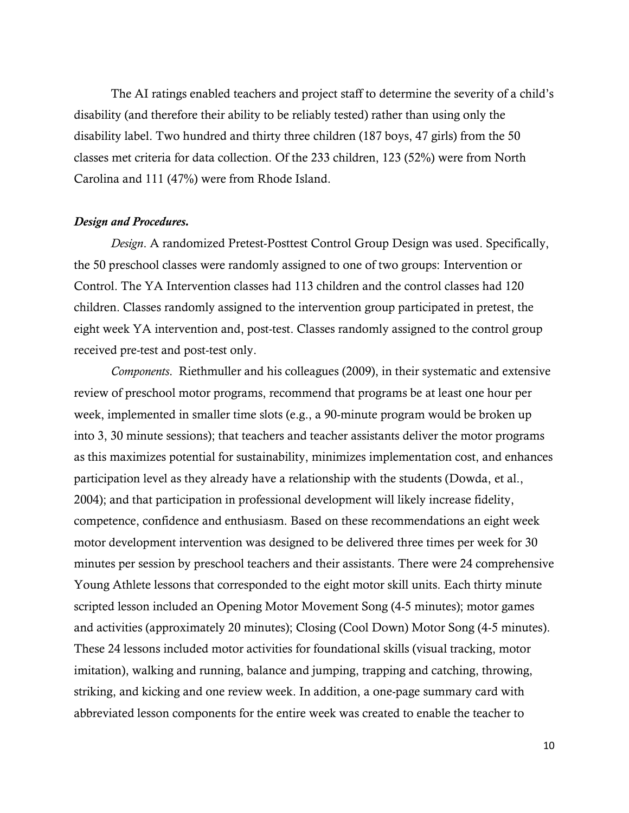The AI ratings enabled teachers and project staff to determine the severity of a child"s disability (and therefore their ability to be reliably tested) rather than using only the disability label. Two hundred and thirty three children (187 boys, 47 girls) from the 50 classes met criteria for data collection. Of the 233 children, 123 (52%) were from North Carolina and 111 (47%) were from Rhode Island.

#### *Design and Procedures.*

*Design*. A randomized Pretest-Posttest Control Group Design was used. Specifically, the 50 preschool classes were randomly assigned to one of two groups: Intervention or Control. The YA Intervention classes had 113 children and the control classes had 120 children. Classes randomly assigned to the intervention group participated in pretest, the eight week YA intervention and, post-test. Classes randomly assigned to the control group received pre-test and post-test only.

*Components*. Riethmuller and his colleagues (2009), in their systematic and extensive review of preschool motor programs, recommend that programs be at least one hour per week, implemented in smaller time slots (e.g., a 90-minute program would be broken up into 3, 30 minute sessions); that teachers and teacher assistants deliver the motor programs as this maximizes potential for sustainability, minimizes implementation cost, and enhances participation level as they already have a relationship with the students (Dowda, et al., 2004); and that participation in professional development will likely increase fidelity, competence, confidence and enthusiasm. Based on these recommendations an eight week motor development intervention was designed to be delivered three times per week for 30 minutes per session by preschool teachers and their assistants. There were 24 comprehensive Young Athlete lessons that corresponded to the eight motor skill units. Each thirty minute scripted lesson included an Opening Motor Movement Song (4-5 minutes); motor games and activities (approximately 20 minutes); Closing (Cool Down) Motor Song (4-5 minutes). These 24 lessons included motor activities for foundational skills (visual tracking, motor imitation), walking and running, balance and jumping, trapping and catching, throwing, striking, and kicking and one review week. In addition, a one-page summary card with abbreviated lesson components for the entire week was created to enable the teacher to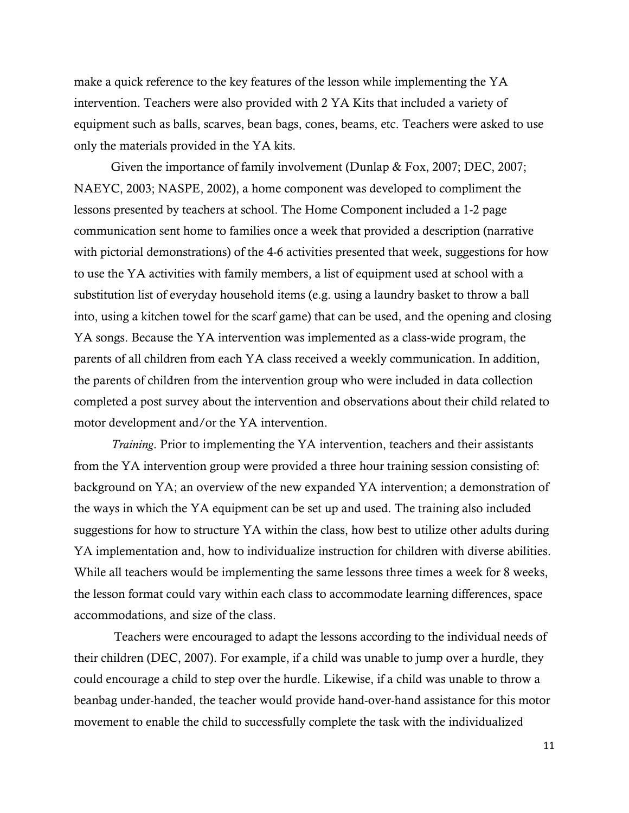make a quick reference to the key features of the lesson while implementing the YA intervention. Teachers were also provided with 2 YA Kits that included a variety of equipment such as balls, scarves, bean bags, cones, beams, etc. Teachers were asked to use only the materials provided in the YA kits.

Given the importance of family involvement (Dunlap & Fox, 2007; DEC, 2007; NAEYC, 2003; NASPE, 2002), a home component was developed to compliment the lessons presented by teachers at school. The Home Component included a 1-2 page communication sent home to families once a week that provided a description (narrative with pictorial demonstrations) of the 4-6 activities presented that week, suggestions for how to use the YA activities with family members, a list of equipment used at school with a substitution list of everyday household items (e.g. using a laundry basket to throw a ball into, using a kitchen towel for the scarf game) that can be used, and the opening and closing YA songs. Because the YA intervention was implemented as a class-wide program, the parents of all children from each YA class received a weekly communication. In addition, the parents of children from the intervention group who were included in data collection completed a post survey about the intervention and observations about their child related to motor development and/or the YA intervention.

*Training*. Prior to implementing the YA intervention, teachers and their assistants from the YA intervention group were provided a three hour training session consisting of: background on YA; an overview of the new expanded YA intervention; a demonstration of the ways in which the YA equipment can be set up and used. The training also included suggestions for how to structure YA within the class, how best to utilize other adults during YA implementation and, how to individualize instruction for children with diverse abilities. While all teachers would be implementing the same lessons three times a week for 8 weeks, the lesson format could vary within each class to accommodate learning differences, space accommodations, and size of the class.

Teachers were encouraged to adapt the lessons according to the individual needs of their children (DEC, 2007). For example, if a child was unable to jump over a hurdle, they could encourage a child to step over the hurdle. Likewise, if a child was unable to throw a beanbag under-handed, the teacher would provide hand-over-hand assistance for this motor movement to enable the child to successfully complete the task with the individualized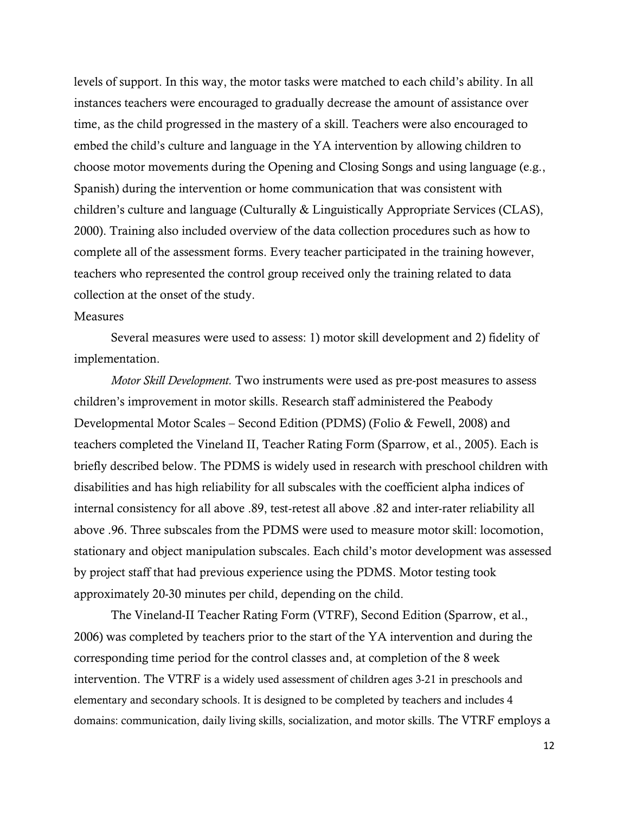levels of support. In this way, the motor tasks were matched to each child"s ability. In all instances teachers were encouraged to gradually decrease the amount of assistance over time, as the child progressed in the mastery of a skill. Teachers were also encouraged to embed the child"s culture and language in the YA intervention by allowing children to choose motor movements during the Opening and Closing Songs and using language (e.g., Spanish) during the intervention or home communication that was consistent with children"s culture and language (Culturally & Linguistically Appropriate Services (CLAS), 2000). Training also included overview of the data collection procedures such as how to complete all of the assessment forms. Every teacher participated in the training however, teachers who represented the control group received only the training related to data collection at the onset of the study.

#### Measures

Several measures were used to assess: 1) motor skill development and 2) fidelity of implementation.

*Motor Skill Development.* Two instruments were used as pre-post measures to assess children"s improvement in motor skills. Research staff administered the Peabody Developmental Motor Scales – Second Edition (PDMS) (Folio & Fewell, 2008) and teachers completed the Vineland II, Teacher Rating Form (Sparrow, et al., 2005). Each is briefly described below. The PDMS is widely used in research with preschool children with disabilities and has high reliability for all subscales with the coefficient alpha indices of internal consistency for all above .89, test-retest all above .82 and inter-rater reliability all above .96. Three subscales from the PDMS were used to measure motor skill: locomotion, stationary and object manipulation subscales. Each child"s motor development was assessed by project staff that had previous experience using the PDMS. Motor testing took approximately 20-30 minutes per child, depending on the child.

The Vineland-II Teacher Rating Form (VTRF), Second Edition (Sparrow, et al., 2006) was completed by teachers prior to the start of the YA intervention and during the corresponding time period for the control classes and, at completion of the 8 week intervention. The VTRF is a widely used assessment of children ages 3-21 in preschools and elementary and secondary schools. It is designed to be completed by teachers and includes 4 domains: communication, daily living skills, socialization, and motor skills. The VTRF employs a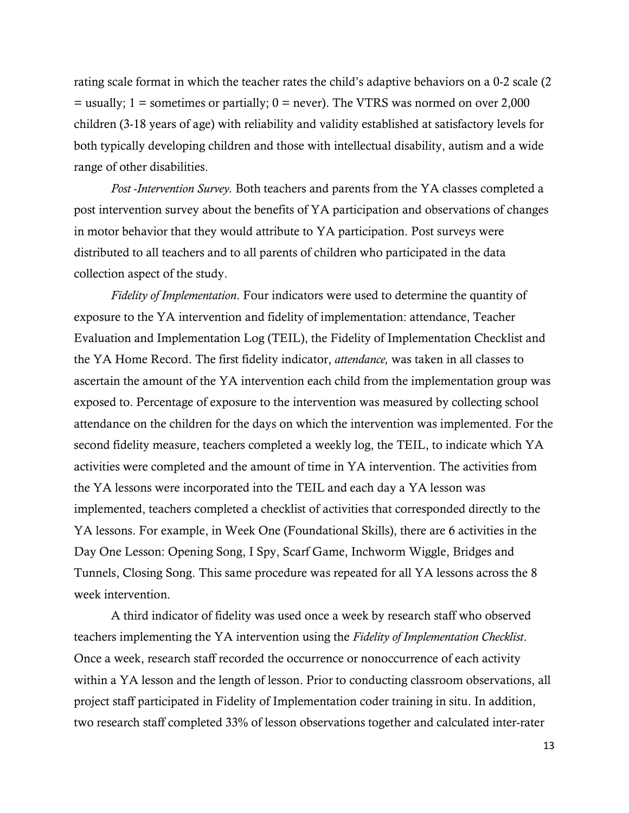rating scale format in which the teacher rates the child's adaptive behaviors on a 0-2 scale (2)  $=$  usually; 1 = sometimes or partially; 0 = never). The VTRS was normed on over 2,000 children (3-18 years of age) with reliability and validity established at satisfactory levels for both typically developing children and those with intellectual disability, autism and a wide range of other disabilities.

*Post -Intervention Survey.* Both teachers and parents from the YA classes completed a post intervention survey about the benefits of YA participation and observations of changes in motor behavior that they would attribute to YA participation. Post surveys were distributed to all teachers and to all parents of children who participated in the data collection aspect of the study.

*Fidelity of Implementation*. Four indicators were used to determine the quantity of exposure to the YA intervention and fidelity of implementation: attendance, Teacher Evaluation and Implementation Log (TEIL), the Fidelity of Implementation Checklist and the YA Home Record. The first fidelity indicator, *attendance,* was taken in all classes to ascertain the amount of the YA intervention each child from the implementation group was exposed to. Percentage of exposure to the intervention was measured by collecting school attendance on the children for the days on which the intervention was implemented. For the second fidelity measure, teachers completed a weekly log, the TEIL, to indicate which YA activities were completed and the amount of time in YA intervention. The activities from the YA lessons were incorporated into the TEIL and each day a YA lesson was implemented, teachers completed a checklist of activities that corresponded directly to the YA lessons. For example, in Week One (Foundational Skills), there are 6 activities in the Day One Lesson: Opening Song, I Spy, Scarf Game, Inchworm Wiggle, Bridges and Tunnels, Closing Song. This same procedure was repeated for all YA lessons across the 8 week intervention.

A third indicator of fidelity was used once a week by research staff who observed teachers implementing the YA intervention using the *Fidelity of Implementation Checklist*. Once a week, research staff recorded the occurrence or nonoccurrence of each activity within a YA lesson and the length of lesson. Prior to conducting classroom observations, all project staff participated in Fidelity of Implementation coder training in situ. In addition, two research staff completed 33% of lesson observations together and calculated inter-rater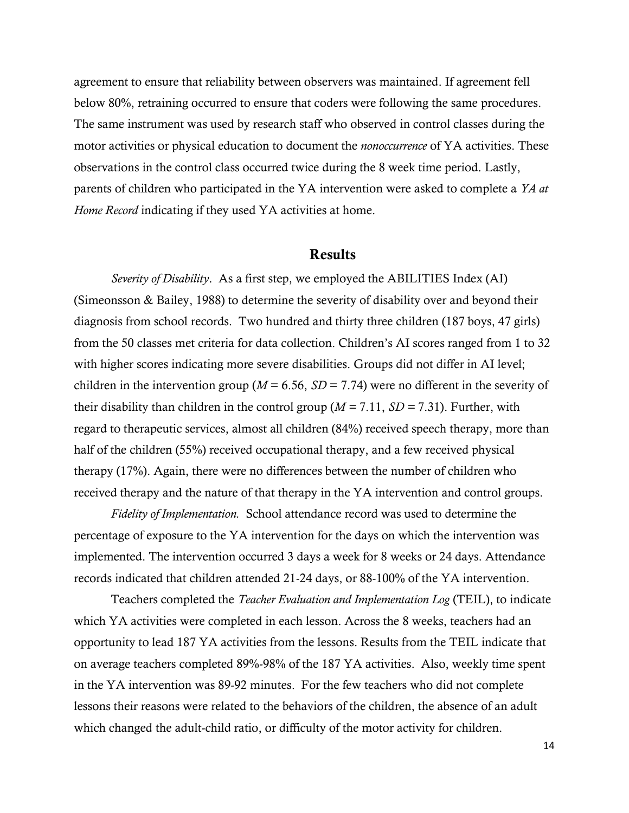agreement to ensure that reliability between observers was maintained. If agreement fell below 80%, retraining occurred to ensure that coders were following the same procedures. The same instrument was used by research staff who observed in control classes during the motor activities or physical education to document the *nonoccurrence* of YA activities. These observations in the control class occurred twice during the 8 week time period. Lastly, parents of children who participated in the YA intervention were asked to complete a *YA at Home Record* indicating if they used YA activities at home.

## **Results**

*Severity of Disability*. As a first step, we employed the ABILITIES Index (AI) (Simeonsson & Bailey, 1988) to determine the severity of disability over and beyond their diagnosis from school records. Two hundred and thirty three children (187 boys, 47 girls) from the 50 classes met criteria for data collection. Children"s AI scores ranged from 1 to 32 with higher scores indicating more severe disabilities. Groups did not differ in AI level; children in the intervention group ( $M = 6.56$ ,  $SD = 7.74$ ) were no different in the severity of their disability than children in the control group (*M =* 7.11, *SD =* 7.31). Further, with regard to therapeutic services, almost all children (84%) received speech therapy, more than half of the children (55%) received occupational therapy, and a few received physical therapy (17%). Again, there were no differences between the number of children who received therapy and the nature of that therapy in the YA intervention and control groups.

*Fidelity of Implementation.* School attendance record was used to determine the percentage of exposure to the YA intervention for the days on which the intervention was implemented. The intervention occurred 3 days a week for 8 weeks or 24 days. Attendance records indicated that children attended 21-24 days, or 88-100% of the YA intervention.

Teachers completed the *Teacher Evaluation and Implementation Log* (TEIL), to indicate which YA activities were completed in each lesson. Across the 8 weeks, teachers had an opportunity to lead 187 YA activities from the lessons. Results from the TEIL indicate that on average teachers completed 89%-98% of the 187 YA activities. Also, weekly time spent in the YA intervention was 89-92 minutes. For the few teachers who did not complete lessons their reasons were related to the behaviors of the children, the absence of an adult which changed the adult-child ratio, or difficulty of the motor activity for children.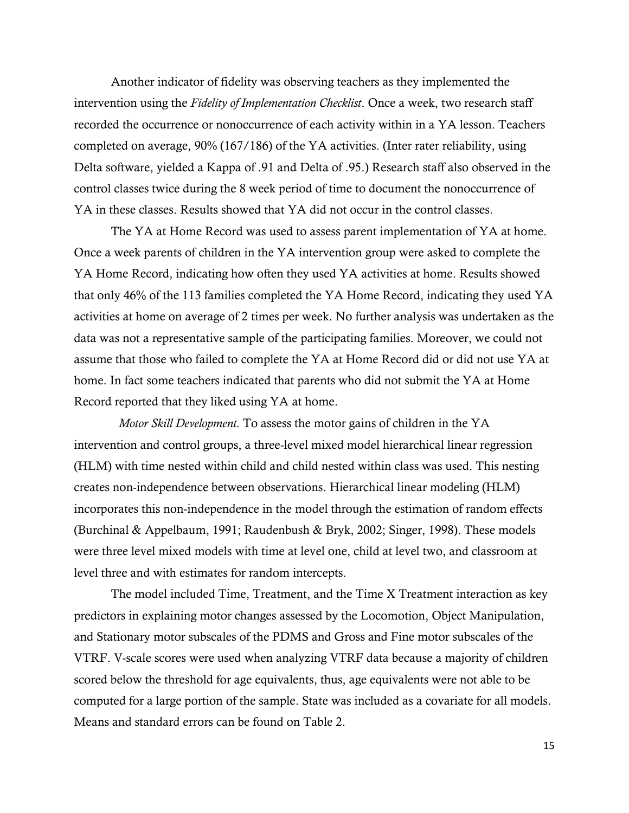Another indicator of fidelity was observing teachers as they implemented the intervention using the *Fidelity of Implementation Checklist*. Once a week, two research staff recorded the occurrence or nonoccurrence of each activity within in a YA lesson. Teachers completed on average, 90% (167/186) of the YA activities. (Inter rater reliability, using Delta software, yielded a Kappa of .91 and Delta of .95.) Research staff also observed in the control classes twice during the 8 week period of time to document the nonoccurrence of YA in these classes. Results showed that YA did not occur in the control classes.

The YA at Home Record was used to assess parent implementation of YA at home. Once a week parents of children in the YA intervention group were asked to complete the YA Home Record, indicating how often they used YA activities at home. Results showed that only 46% of the 113 families completed the YA Home Record, indicating they used YA activities at home on average of 2 times per week. No further analysis was undertaken as the data was not a representative sample of the participating families. Moreover, we could not assume that those who failed to complete the YA at Home Record did or did not use YA at home. In fact some teachers indicated that parents who did not submit the YA at Home Record reported that they liked using YA at home.

*Motor Skill Development.* To assess the motor gains of children in the YA intervention and control groups, a three-level mixed model hierarchical linear regression (HLM) with time nested within child and child nested within class was used. This nesting creates non-independence between observations. Hierarchical linear modeling (HLM) incorporates this non-independence in the model through the estimation of random effects (Burchinal & Appelbaum, 1991; Raudenbush & Bryk, 2002; Singer, 1998). These models were three level mixed models with time at level one, child at level two, and classroom at level three and with estimates for random intercepts.

The model included Time, Treatment, and the Time X Treatment interaction as key predictors in explaining motor changes assessed by the Locomotion, Object Manipulation, and Stationary motor subscales of the PDMS and Gross and Fine motor subscales of the VTRF. V-scale scores were used when analyzing VTRF data because a majority of children scored below the threshold for age equivalents, thus, age equivalents were not able to be computed for a large portion of the sample. State was included as a covariate for all models. Means and standard errors can be found on Table 2.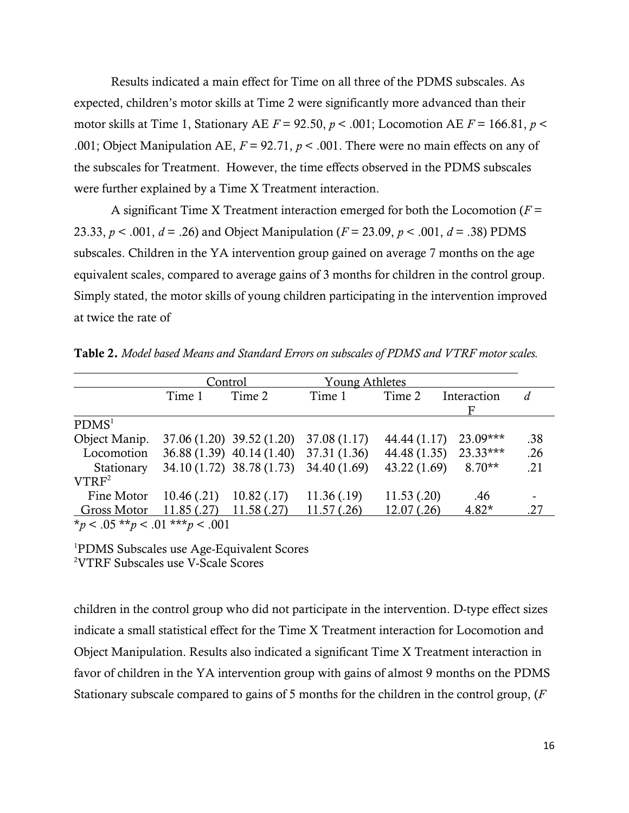Results indicated a main effect for Time on all three of the PDMS subscales. As expected, children"s motor skills at Time 2 were significantly more advanced than their motor skills at Time 1, Stationary AE  $F = 92.50$ ,  $p < .001$ ; Locomotion AE  $F = 166.81$ ,  $p <$ .001; Object Manipulation AE, *F* = 92.71, *p* < .001. There were no main effects on any of the subscales for Treatment. However, the time effects observed in the PDMS subscales were further explained by a Time X Treatment interaction.

A significant Time X Treatment interaction emerged for both the Locomotion  $(F =$ 23.33, *p* < .001, *d* = .26) and Object Manipulation (*F* = 23.09, *p* < .001, *d* = .38) PDMS subscales. Children in the YA intervention group gained on average 7 months on the age equivalent scales, compared to average gains of 3 months for children in the control group. Simply stated, the motor skills of young children participating in the intervention improved at twice the rate of

|                                         |            | Control                                | <b>Young Athletes</b> |              |             |     |
|-----------------------------------------|------------|----------------------------------------|-----------------------|--------------|-------------|-----|
|                                         | Time 1     | Time 2                                 | Time 1                | Time 2       | Interaction | d   |
| PDMS <sup>1</sup>                       |            |                                        |                       |              |             |     |
| Object Manip.                           |            | $37.06(1.20)$ $39.52(1.20)$            | 37.08 (1.17)          | 44.44 (1.17) | $23.09***$  | .38 |
| Locomotion                              |            | 36.88 (1.39) 40.14 (1.40) 37.31 (1.36) |                       | 44.48 (1.35) | $23.33***$  | .26 |
| Stationary                              |            | 34.10 (1.72) 38.78 (1.73)              | 34.40 (1.69)          | 43.22 (1.69) | $8.70**$    | .21 |
| VTRF <sup>2</sup>                       |            |                                        |                       |              |             |     |
| Fine Motor                              | 10.46(.21) | 10.82(0.17)                            | 11.36(.19)            | 11.53(.20)   | .46         |     |
| Gross Motor                             | 11.85(.27) | 11.58(.27)                             | 11.57(.26)            | 12.07(.26)   | $4.82*$     | .27 |
| * $p < .05$ ** $p < .01$ *** $p < .001$ |            |                                        |                       |              |             |     |

**Table 2.** *Model based Means and Standard Errors on subscales of PDMS and VTRF motor scales.*

<sup>1</sup>PDMS Subscales use Age-Equivalent Scores <sup>2</sup>VTRF Subscales use V-Scale Scores

children in the control group who did not participate in the intervention. D-type effect sizes indicate a small statistical effect for the Time X Treatment interaction for Locomotion and Object Manipulation. Results also indicated a significant Time X Treatment interaction in favor of children in the YA intervention group with gains of almost 9 months on the PDMS Stationary subscale compared to gains of 5 months for the children in the control group, (*F*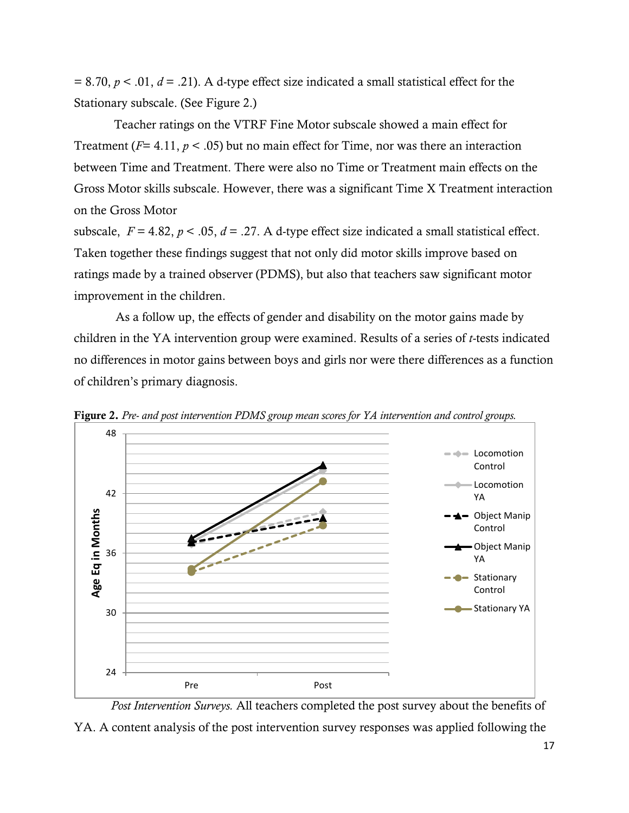$= 8.70, p < 0.01, d = 0.21$ . A d-type effect size indicated a small statistical effect for the Stationary subscale. (See Figure 2.)

Teacher ratings on the VTRF Fine Motor subscale showed a main effect for Treatment (*F*= 4.11, *p* < .05) but no main effect for Time, nor was there an interaction between Time and Treatment. There were also no Time or Treatment main effects on the Gross Motor skills subscale. However, there was a significant Time X Treatment interaction on the Gross Motor

subscale,  $F = 4.82$ ,  $p < .05$ ,  $d = .27$ . A d-type effect size indicated a small statistical effect. Taken together these findings suggest that not only did motor skills improve based on ratings made by a trained observer (PDMS), but also that teachers saw significant motor improvement in the children.

As a follow up, the effects of gender and disability on the motor gains made by children in the YA intervention group were examined. Results of a series of *t*-tests indicated no differences in motor gains between boys and girls nor were there differences as a function of children"s primary diagnosis.



**Figure 2.** *Pre- and post intervention PDMS group mean scores for YA intervention and control groups.*

*Post Intervention Surveys.* All teachers completed the post survey about the benefits of YA. A content analysis of the post intervention survey responses was applied following the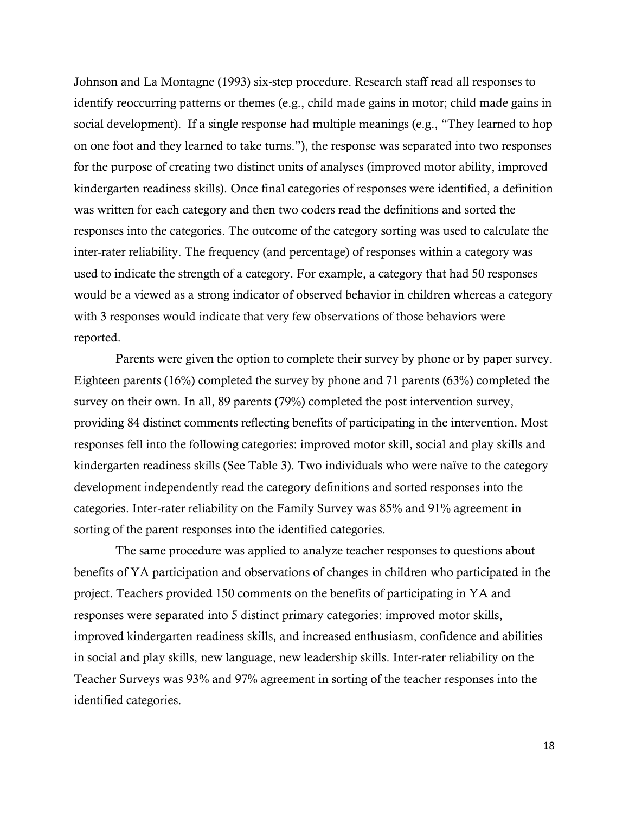Johnson and La Montagne (1993) six-step procedure. Research staff read all responses to identify reoccurring patterns or themes (e.g., child made gains in motor; child made gains in social development). If a single response had multiple meanings (e.g., "They learned to hop on one foot and they learned to take turns."), the response was separated into two responses for the purpose of creating two distinct units of analyses (improved motor ability, improved kindergarten readiness skills). Once final categories of responses were identified, a definition was written for each category and then two coders read the definitions and sorted the responses into the categories. The outcome of the category sorting was used to calculate the inter-rater reliability. The frequency (and percentage) of responses within a category was used to indicate the strength of a category. For example, a category that had 50 responses would be a viewed as a strong indicator of observed behavior in children whereas a category with 3 responses would indicate that very few observations of those behaviors were reported.

Parents were given the option to complete their survey by phone or by paper survey. Eighteen parents (16%) completed the survey by phone and 71 parents (63%) completed the survey on their own. In all, 89 parents (79%) completed the post intervention survey, providing 84 distinct comments reflecting benefits of participating in the intervention. Most responses fell into the following categories: improved motor skill, social and play skills and kindergarten readiness skills (See Table 3). Two individuals who were naïve to the category development independently read the category definitions and sorted responses into the categories. Inter-rater reliability on the Family Survey was 85% and 91% agreement in sorting of the parent responses into the identified categories.

The same procedure was applied to analyze teacher responses to questions about benefits of YA participation and observations of changes in children who participated in the project. Teachers provided 150 comments on the benefits of participating in YA and responses were separated into 5 distinct primary categories: improved motor skills, improved kindergarten readiness skills, and increased enthusiasm, confidence and abilities in social and play skills, new language, new leadership skills. Inter-rater reliability on the Teacher Surveys was 93% and 97% agreement in sorting of the teacher responses into the identified categories.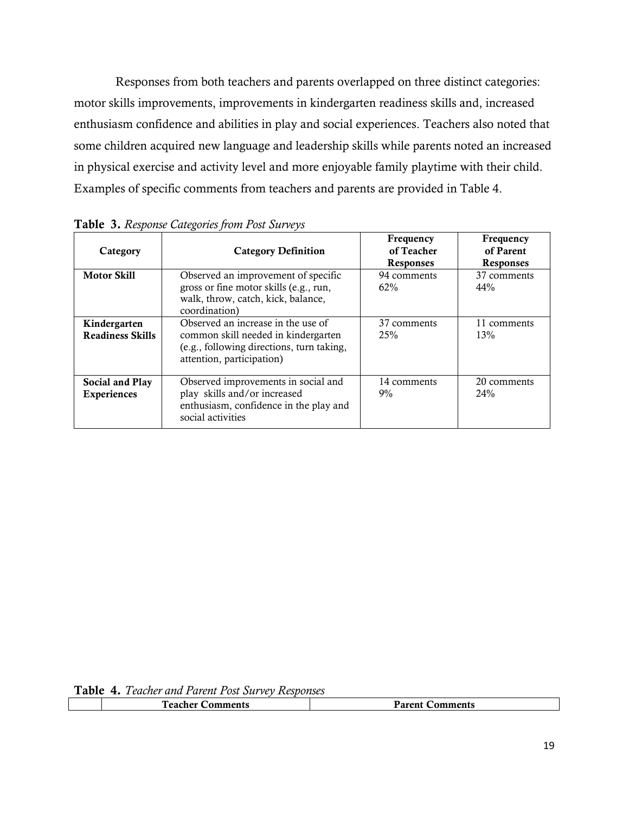Responses from both teachers and parents overlapped on three distinct categories: motor skills improvements, improvements in kindergarten readiness skills and, increased enthusiasm confidence and abilities in play and social experiences. Teachers also noted that some children acquired new language and leadership skills while parents noted an increased in physical exercise and activity level and more enjoyable family playtime with their child. Examples of specific comments from teachers and parents are provided in Table 4.

| Category                                | <b>Category Definition</b>                                                                                                                          | Frequency<br>of Teacher<br><b>Responses</b> | Frequency<br>of Parent<br><b>Responses</b> |
|-----------------------------------------|-----------------------------------------------------------------------------------------------------------------------------------------------------|---------------------------------------------|--------------------------------------------|
| <b>Motor Skill</b>                      | Observed an improvement of specific<br>gross or fine motor skills (e.g., run,<br>walk, throw, catch, kick, balance,<br>coordination)                | 94 comments<br>62%                          | 37 comments<br>44%                         |
| Kindergarten<br><b>Readiness Skills</b> | Observed an increase in the use of<br>common skill needed in kindergarten<br>(e.g., following directions, turn taking,<br>attention, participation) | 37 comments<br>25%                          | 11 comments<br>13%                         |
| Social and Play<br><b>Experiences</b>   | Observed improvements in social and<br>play skills and/or increased<br>enthusiasm, confidence in the play and<br>social activities                  | 14 comments<br>$9\%$                        | 20 comments<br>24%                         |

**Table 3.** *Response Categories from Post Surveys*

| `oo oh ov<br>mments —<br> | Dayaa4<br>ments<br>71<br>.<br>. |  |  |  |  |  |
|---------------------------|---------------------------------|--|--|--|--|--|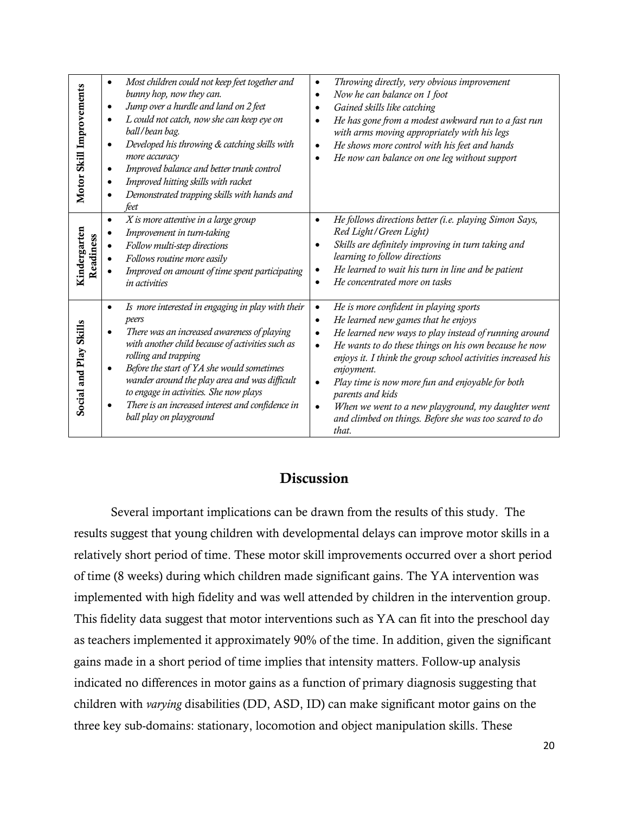| Motor Skill Improvements  | Most children could not keep feet together and<br>$\bullet$<br>bunny hop, now they can.<br>Jump over a hurdle and land on 2 feet<br>$\bullet$<br>L could not catch, now she can keep eye on<br>$\bullet$<br>ball/bean bag.<br>Developed his throwing & catching skills with<br>$\bullet$<br>more accuracy<br>Improved balance and better trunk control<br>$\bullet$<br>Improved hitting skills with racket<br>$\bullet$<br>Demonstrated trapping skills with hands and<br>feet | Throwing directly, very obvious improvement<br>$\bullet$<br>Now he can balance on 1 foot<br>$\bullet$<br>Gained skills like catching<br>$\bullet$<br>He has gone from a modest awkward run to a fast run<br>$\bullet$<br>with arms moving appropriately with his legs<br>He shows more control with his feet and hands<br>$\bullet$<br>He now can balance on one leg without support<br>$\bullet$                                                                                                                                                            |
|---------------------------|--------------------------------------------------------------------------------------------------------------------------------------------------------------------------------------------------------------------------------------------------------------------------------------------------------------------------------------------------------------------------------------------------------------------------------------------------------------------------------|--------------------------------------------------------------------------------------------------------------------------------------------------------------------------------------------------------------------------------------------------------------------------------------------------------------------------------------------------------------------------------------------------------------------------------------------------------------------------------------------------------------------------------------------------------------|
| Kindergarten<br>Readiness | X is more attentive in a large group<br>$\bullet$<br>Improvement in turn-taking<br>Follow multi-step directions<br>Follows routine more easily<br>Improved on amount of time spent participating<br>in activities                                                                                                                                                                                                                                                              | He follows directions better (i.e. playing Simon Says,<br>$\bullet$<br>Red Light / Green Light)<br>Skills are definitely improving in turn taking and<br>٠<br>learning to follow directions<br>He learned to wait his turn in line and be patient<br>$\bullet$<br>He concentrated more on tasks<br>$\bullet$                                                                                                                                                                                                                                                 |
| Social and Play Skills    | Is more interested in engaging in play with their<br>$\bullet$<br>peers<br>There was an increased awareness of playing<br>$\bullet$<br>with another child because of activities such as<br>rolling and trapping<br>Before the start of YA she would sometimes<br>$\bullet$<br>wander around the play area and was difficult<br>to engage in activities. She now plays<br>There is an increased interest and confidence in<br>$\bullet$<br>ball play on playground              | He is more confident in playing sports<br>$\bullet$<br>He learned new games that he enjoys<br>$\bullet$<br>He learned new ways to play instead of running around<br>$\bullet$<br>He wants to do these things on his own because he now<br>$\bullet$<br>enjoys it. I think the group school activities increased his<br>enjoyment.<br>Play time is now more fun and enjoyable for both<br>$\bullet$<br>parents and kids<br>When we went to a new playground, my daughter went<br>$\bullet$<br>and climbed on things. Before she was too scared to do<br>that. |

# **Discussion**

Several important implications can be drawn from the results of this study. The results suggest that young children with developmental delays can improve motor skills in a relatively short period of time. These motor skill improvements occurred over a short period of time (8 weeks) during which children made significant gains. The YA intervention was implemented with high fidelity and was well attended by children in the intervention group. This fidelity data suggest that motor interventions such as YA can fit into the preschool day as teachers implemented it approximately 90% of the time. In addition, given the significant gains made in a short period of time implies that intensity matters. Follow-up analysis indicated no differences in motor gains as a function of primary diagnosis suggesting that children with *varying* disabilities (DD, ASD, ID) can make significant motor gains on the three key sub-domains: stationary, locomotion and object manipulation skills. These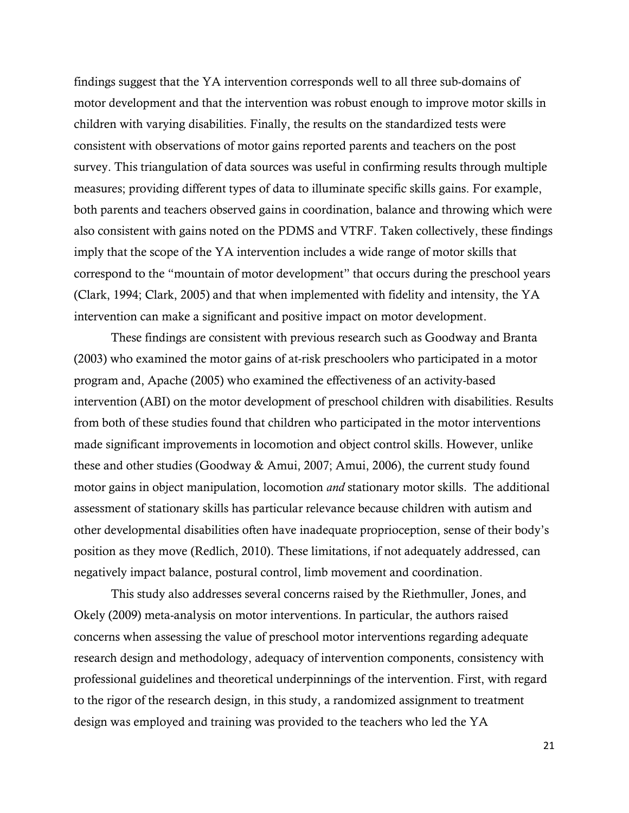findings suggest that the YA intervention corresponds well to all three sub-domains of motor development and that the intervention was robust enough to improve motor skills in children with varying disabilities. Finally, the results on the standardized tests were consistent with observations of motor gains reported parents and teachers on the post survey. This triangulation of data sources was useful in confirming results through multiple measures; providing different types of data to illuminate specific skills gains. For example, both parents and teachers observed gains in coordination, balance and throwing which were also consistent with gains noted on the PDMS and VTRF. Taken collectively, these findings imply that the scope of the YA intervention includes a wide range of motor skills that correspond to the "mountain of motor development" that occurs during the preschool years (Clark, 1994; Clark, 2005) and that when implemented with fidelity and intensity, the YA intervention can make a significant and positive impact on motor development.

These findings are consistent with previous research such as Goodway and Branta (2003) who examined the motor gains of at-risk preschoolers who participated in a motor program and, Apache (2005) who examined the effectiveness of an activity-based intervention (ABI) on the motor development of preschool children with disabilities. Results from both of these studies found that children who participated in the motor interventions made significant improvements in locomotion and object control skills. However, unlike these and other studies (Goodway & Amui, 2007; Amui, 2006), the current study found motor gains in object manipulation, locomotion *and* stationary motor skills. The additional assessment of stationary skills has particular relevance because children with autism and other developmental disabilities often have inadequate proprioception, sense of their body"s position as they move (Redlich, 2010). These limitations, if not adequately addressed, can negatively impact balance, postural control, limb movement and coordination.

This study also addresses several concerns raised by the Riethmuller, Jones, and Okely (2009) meta-analysis on motor interventions. In particular, the authors raised concerns when assessing the value of preschool motor interventions regarding adequate research design and methodology, adequacy of intervention components, consistency with professional guidelines and theoretical underpinnings of the intervention. First, with regard to the rigor of the research design, in this study, a randomized assignment to treatment design was employed and training was provided to the teachers who led the YA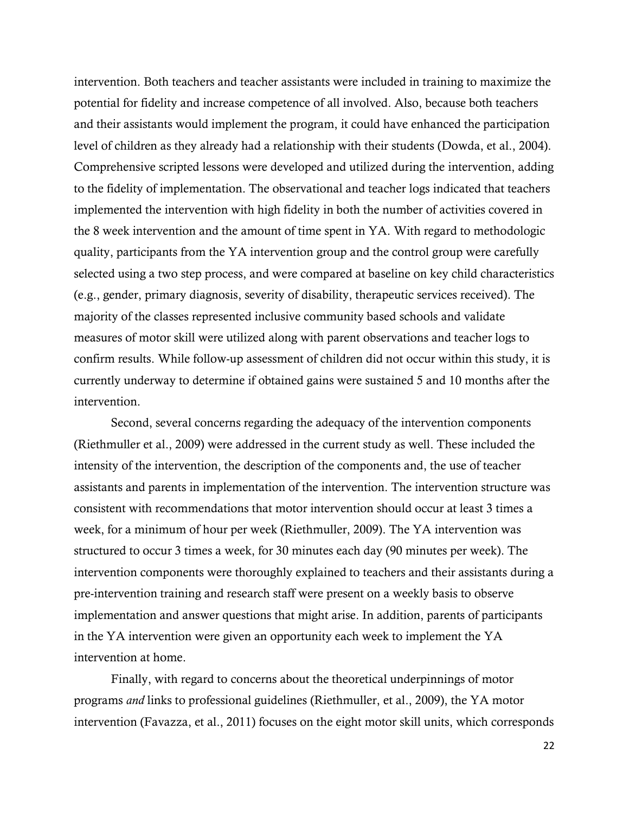intervention. Both teachers and teacher assistants were included in training to maximize the potential for fidelity and increase competence of all involved. Also, because both teachers and their assistants would implement the program, it could have enhanced the participation level of children as they already had a relationship with their students (Dowda, et al., 2004). Comprehensive scripted lessons were developed and utilized during the intervention, adding to the fidelity of implementation. The observational and teacher logs indicated that teachers implemented the intervention with high fidelity in both the number of activities covered in the 8 week intervention and the amount of time spent in YA. With regard to methodologic quality, participants from the YA intervention group and the control group were carefully selected using a two step process, and were compared at baseline on key child characteristics (e.g., gender, primary diagnosis, severity of disability, therapeutic services received). The majority of the classes represented inclusive community based schools and validate measures of motor skill were utilized along with parent observations and teacher logs to confirm results. While follow-up assessment of children did not occur within this study, it is currently underway to determine if obtained gains were sustained 5 and 10 months after the intervention.

Second, several concerns regarding the adequacy of the intervention components (Riethmuller et al., 2009) were addressed in the current study as well. These included the intensity of the intervention, the description of the components and, the use of teacher assistants and parents in implementation of the intervention. The intervention structure was consistent with recommendations that motor intervention should occur at least 3 times a week, for a minimum of hour per week (Riethmuller, 2009). The YA intervention was structured to occur 3 times a week, for 30 minutes each day (90 minutes per week). The intervention components were thoroughly explained to teachers and their assistants during a pre-intervention training and research staff were present on a weekly basis to observe implementation and answer questions that might arise. In addition, parents of participants in the YA intervention were given an opportunity each week to implement the YA intervention at home.

Finally, with regard to concerns about the theoretical underpinnings of motor programs *and* links to professional guidelines (Riethmuller, et al., 2009), the YA motor intervention (Favazza, et al., 2011) focuses on the eight motor skill units, which corresponds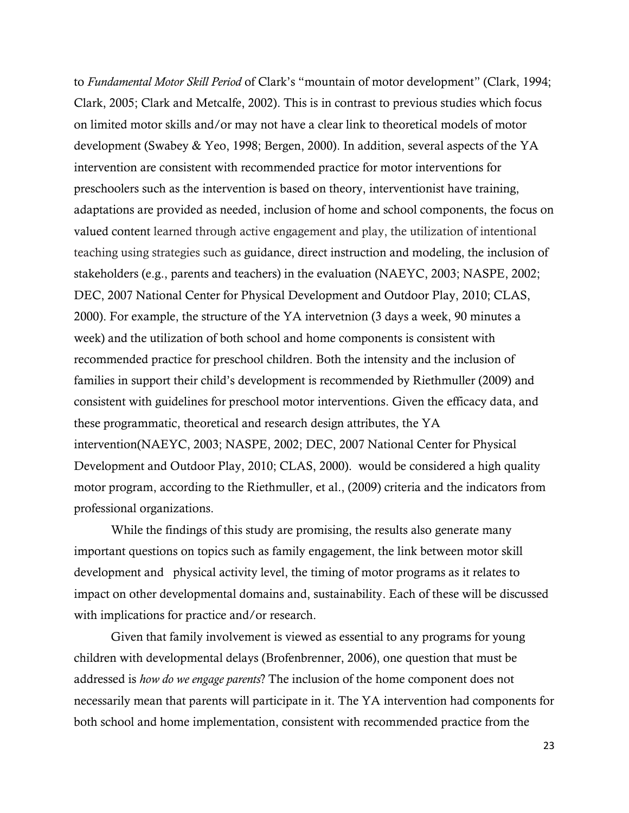to *Fundamental Motor Skill Period* of Clark"s "mountain of motor development" (Clark, 1994; Clark, 2005; Clark and Metcalfe, 2002). This is in contrast to previous studies which focus on limited motor skills and/or may not have a clear link to theoretical models of motor development (Swabey & Yeo, 1998; Bergen, 2000). In addition, several aspects of the YA intervention are consistent with recommended practice for motor interventions for preschoolers such as the intervention is based on theory, interventionist have training, adaptations are provided as needed, inclusion of home and school components, the focus on valued content learned through active engagement and play, the utilization of intentional teaching using strategies such as guidance, direct instruction and modeling, the inclusion of stakeholders (e.g., parents and teachers) in the evaluation (NAEYC, 2003; NASPE, 2002; DEC, 2007 National Center for Physical Development and Outdoor Play, 2010; CLAS, 2000). For example, the structure of the YA intervetnion (3 days a week, 90 minutes a week) and the utilization of both school and home components is consistent with recommended practice for preschool children. Both the intensity and the inclusion of families in support their child"s development is recommended by Riethmuller (2009) and consistent with guidelines for preschool motor interventions. Given the efficacy data, and these programmatic, theoretical and research design attributes, the YA intervention(NAEYC, 2003; NASPE, 2002; DEC, 2007 National Center for Physical Development and Outdoor Play, 2010; CLAS, 2000). would be considered a high quality motor program, according to the Riethmuller, et al., (2009) criteria and the indicators from professional organizations.

While the findings of this study are promising, the results also generate many important questions on topics such as family engagement, the link between motor skill development and physical activity level, the timing of motor programs as it relates to impact on other developmental domains and, sustainability. Each of these will be discussed with implications for practice and/or research.

Given that family involvement is viewed as essential to any programs for young children with developmental delays (Brofenbrenner, 2006), one question that must be addressed is *how do we engage parents*? The inclusion of the home component does not necessarily mean that parents will participate in it. The YA intervention had components for both school and home implementation, consistent with recommended practice from the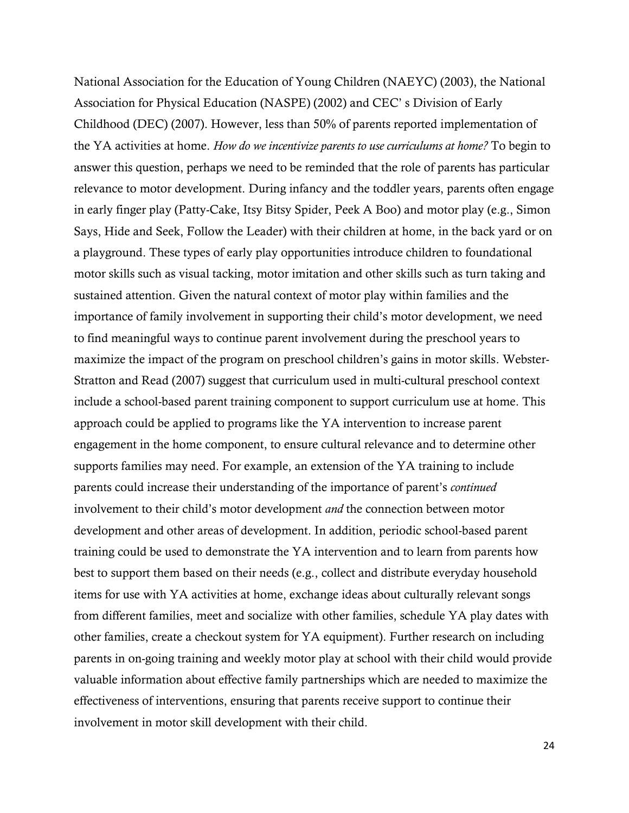National Association for the Education of Young Children (NAEYC) (2003), the National Association for Physical Education (NASPE) (2002) and CEC" s Division of Early Childhood (DEC) (2007). However, less than 50% of parents reported implementation of the YA activities at home. *How do we incentivize parents to use curriculums at home?* To begin to answer this question, perhaps we need to be reminded that the role of parents has particular relevance to motor development. During infancy and the toddler years, parents often engage in early finger play (Patty-Cake, Itsy Bitsy Spider, Peek A Boo) and motor play (e.g., Simon Says, Hide and Seek, Follow the Leader) with their children at home, in the back yard or on a playground. These types of early play opportunities introduce children to foundational motor skills such as visual tacking, motor imitation and other skills such as turn taking and sustained attention. Given the natural context of motor play within families and the importance of family involvement in supporting their child"s motor development, we need to find meaningful ways to continue parent involvement during the preschool years to maximize the impact of the program on preschool children"s gains in motor skills. Webster-Stratton and Read (2007) suggest that curriculum used in multi-cultural preschool context include a school-based parent training component to support curriculum use at home. This approach could be applied to programs like the YA intervention to increase parent engagement in the home component, to ensure cultural relevance and to determine other supports families may need. For example, an extension of the YA training to include parents could increase their understanding of the importance of parent"s *continued* involvement to their child"s motor development *and* the connection between motor development and other areas of development. In addition, periodic school-based parent training could be used to demonstrate the YA intervention and to learn from parents how best to support them based on their needs (e.g., collect and distribute everyday household items for use with YA activities at home, exchange ideas about culturally relevant songs from different families, meet and socialize with other families, schedule YA play dates with other families, create a checkout system for YA equipment). Further research on including parents in on-going training and weekly motor play at school with their child would provide valuable information about effective family partnerships which are needed to maximize the effectiveness of interventions, ensuring that parents receive support to continue their involvement in motor skill development with their child.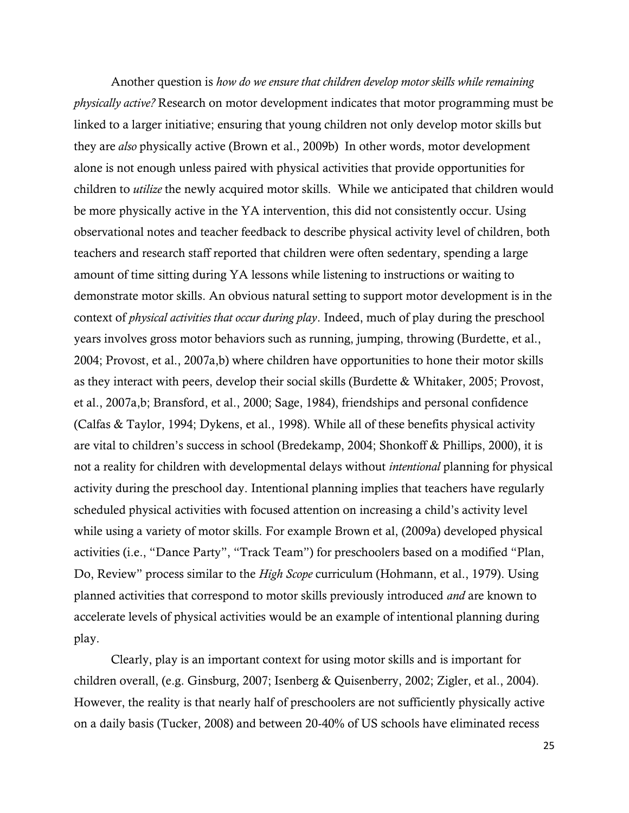Another question is *how do we ensure that children develop motor skills while remaining physically active?* Research on motor development indicates that motor programming must be linked to a larger initiative; ensuring that young children not only develop motor skills but they are *also* physically active (Brown et al., 2009b) In other words, motor development alone is not enough unless paired with physical activities that provide opportunities for children to *utilize* the newly acquired motor skills. While we anticipated that children would be more physically active in the YA intervention, this did not consistently occur. Using observational notes and teacher feedback to describe physical activity level of children, both teachers and research staff reported that children were often sedentary, spending a large amount of time sitting during YA lessons while listening to instructions or waiting to demonstrate motor skills. An obvious natural setting to support motor development is in the context of *physical activities that occur during play*. Indeed, much of play during the preschool years involves gross motor behaviors such as running, jumping, throwing (Burdette, et al., 2004; Provost, et al., 2007a,b) where children have opportunities to hone their motor skills as they interact with peers, develop their social skills (Burdette & Whitaker, 2005; Provost, et al., 2007a,b; Bransford, et al., 2000; Sage, 1984), friendships and personal confidence (Calfas & Taylor, 1994; Dykens, et al., 1998). While all of these benefits physical activity are vital to children"s success in school (Bredekamp, 2004; Shonkoff & Phillips, 2000), it is not a reality for children with developmental delays without *intentional* planning for physical activity during the preschool day. Intentional planning implies that teachers have regularly scheduled physical activities with focused attention on increasing a child"s activity level while using a variety of motor skills. For example Brown et al, (2009a) developed physical activities (i.e., "Dance Party", "Track Team") for preschoolers based on a modified "Plan, Do, Review" process similar to the *High Scope* curriculum (Hohmann, et al., 1979). Using planned activities that correspond to motor skills previously introduced *and* are known to accelerate levels of physical activities would be an example of intentional planning during play.

Clearly, play is an important context for using motor skills and is important for children overall, (e.g. Ginsburg, 2007; Isenberg & Quisenberry, 2002; Zigler, et al., 2004). However, the reality is that nearly half of preschoolers are not sufficiently physically active on a daily basis (Tucker, 2008) and between 20-40% of US schools have eliminated recess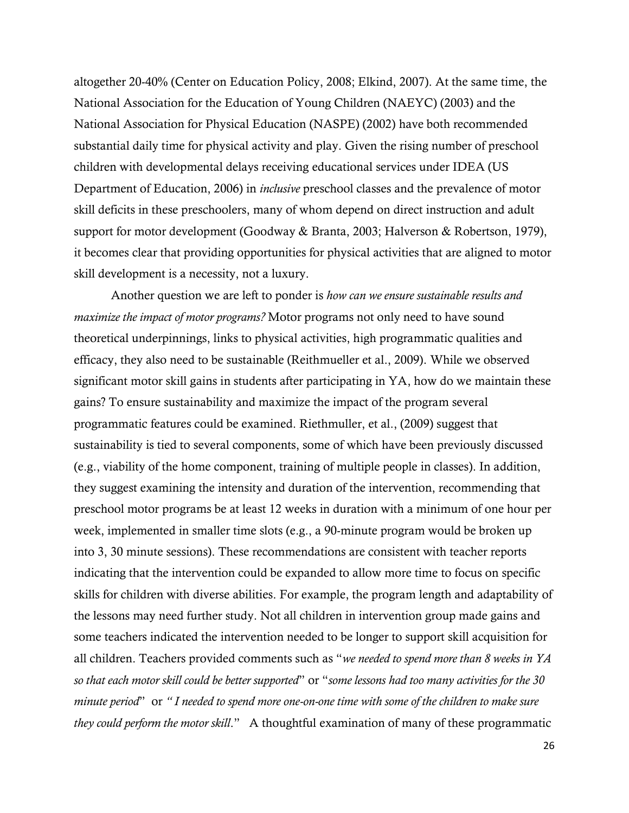altogether 20-40% (Center on Education Policy, 2008; Elkind, 2007). At the same time, the National Association for the Education of Young Children (NAEYC) (2003) and the National Association for Physical Education (NASPE) (2002) have both recommended substantial daily time for physical activity and play. Given the rising number of preschool children with developmental delays receiving educational services under IDEA (US Department of Education, 2006) in *inclusive* preschool classes and the prevalence of motor skill deficits in these preschoolers, many of whom depend on direct instruction and adult support for motor development (Goodway & Branta, 2003; Halverson & Robertson, 1979), it becomes clear that providing opportunities for physical activities that are aligned to motor skill development is a necessity, not a luxury.

Another question we are left to ponder is *how can we ensure sustainable results and maximize the impact of motor programs?* Motor programs not only need to have sound theoretical underpinnings, links to physical activities, high programmatic qualities and efficacy, they also need to be sustainable (Reithmueller et al., 2009). While we observed significant motor skill gains in students after participating in YA, how do we maintain these gains? To ensure sustainability and maximize the impact of the program several programmatic features could be examined. Riethmuller, et al., (2009) suggest that sustainability is tied to several components, some of which have been previously discussed (e.g., viability of the home component, training of multiple people in classes). In addition, they suggest examining the intensity and duration of the intervention, recommending that preschool motor programs be at least 12 weeks in duration with a minimum of one hour per week, implemented in smaller time slots (e.g., a 90-minute program would be broken up into 3, 30 minute sessions). These recommendations are consistent with teacher reports indicating that the intervention could be expanded to allow more time to focus on specific skills for children with diverse abilities. For example, the program length and adaptability of the lessons may need further study. Not all children in intervention group made gains and some teachers indicated the intervention needed to be longer to support skill acquisition for all children. Teachers provided comments such as "*we needed to spend more than 8 weeks in YA so that each motor skill could be better supported*" or "*some lessons had too many activities for the 30 minute period*" or *" I needed to spend more one-on-one time with some of the children to make sure they could perform the motor skill*." A thoughtful examination of many of these programmatic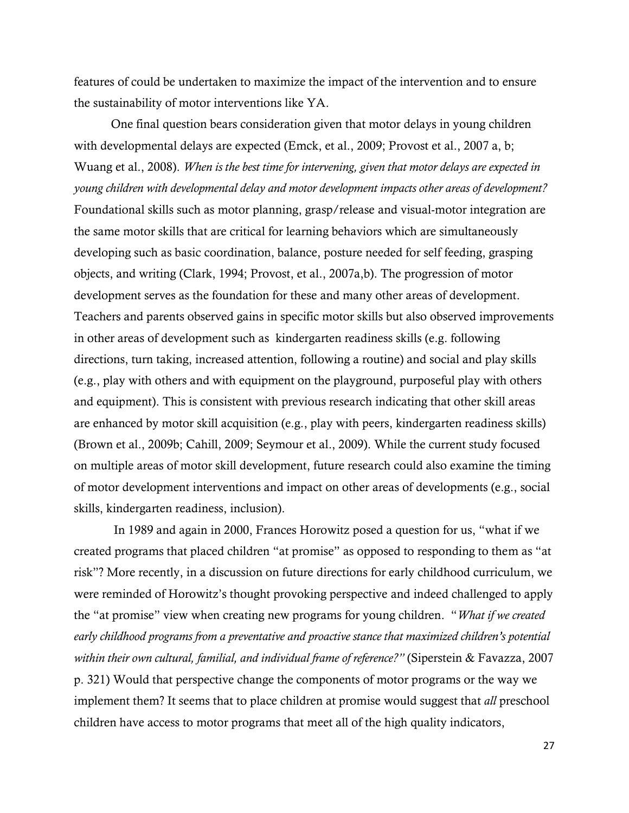features of could be undertaken to maximize the impact of the intervention and to ensure the sustainability of motor interventions like YA.

One final question bears consideration given that motor delays in young children with developmental delays are expected (Emck, et al., 2009; Provost et al., 2007 a, b; Wuang et al., 2008). *When is the best time for intervening, given that motor delays are expected in young children with developmental delay and motor development impacts other areas of development?*  Foundational skills such as motor planning, grasp/release and visual-motor integration are the same motor skills that are critical for learning behaviors which are simultaneously developing such as basic coordination, balance, posture needed for self feeding, grasping objects, and writing (Clark, 1994; Provost, et al., 2007a,b). The progression of motor development serves as the foundation for these and many other areas of development. Teachers and parents observed gains in specific motor skills but also observed improvements in other areas of development such as kindergarten readiness skills (e.g. following directions, turn taking, increased attention, following a routine) and social and play skills (e.g., play with others and with equipment on the playground, purposeful play with others and equipment). This is consistent with previous research indicating that other skill areas are enhanced by motor skill acquisition (e.g., play with peers, kindergarten readiness skills) (Brown et al., 2009b; Cahill, 2009; Seymour et al., 2009). While the current study focused on multiple areas of motor skill development, future research could also examine the timing of motor development interventions and impact on other areas of developments (e.g., social skills, kindergarten readiness, inclusion).

In 1989 and again in 2000, Frances Horowitz posed a question for us, "what if we created programs that placed children "at promise" as opposed to responding to them as "at risk"? More recently, in a discussion on future directions for early childhood curriculum, we were reminded of Horowitz"s thought provoking perspective and indeed challenged to apply the "at promise" view when creating new programs for young children. "*What if we created early childhood programs from a preventative and proactive stance that maximized children's potential within their own cultural, familial, and individual frame of reference?"* (Siperstein & Favazza, 2007 p. 321) Would that perspective change the components of motor programs or the way we implement them? It seems that to place children at promise would suggest that *all* preschool children have access to motor programs that meet all of the high quality indicators,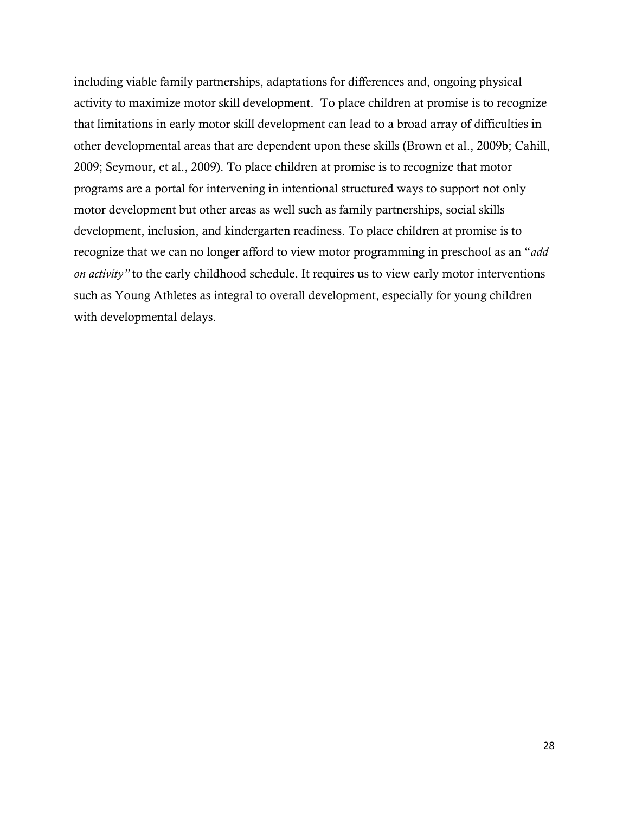including viable family partnerships, adaptations for differences and, ongoing physical activity to maximize motor skill development. To place children at promise is to recognize that limitations in early motor skill development can lead to a broad array of difficulties in other developmental areas that are dependent upon these skills (Brown et al., 2009b; Cahill, 2009; Seymour, et al., 2009). To place children at promise is to recognize that motor programs are a portal for intervening in intentional structured ways to support not only motor development but other areas as well such as family partnerships, social skills development, inclusion, and kindergarten readiness. To place children at promise is to recognize that we can no longer afford to view motor programming in preschool as an "*add on activity"* to the early childhood schedule. It requires us to view early motor interventions such as Young Athletes as integral to overall development, especially for young children with developmental delays.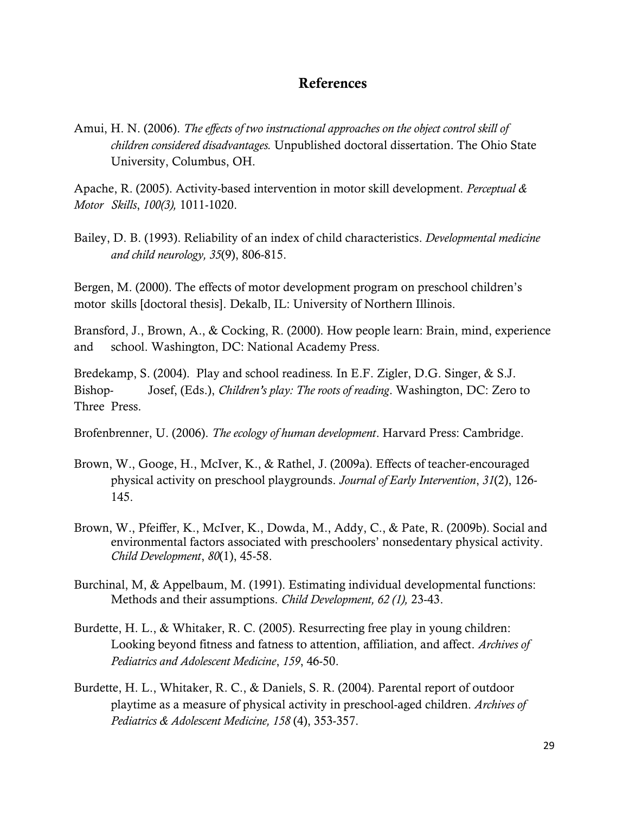# **References**

Amui, H. N. (2006). *The effects of two instructional approaches on the object control skill of children considered disadvantages.* Unpublished doctoral dissertation. The Ohio State University, Columbus, OH.

Apache, R. (2005). Activity-based intervention in motor skill development. *Perceptual & Motor Skills*, *100(3),* 1011-1020.

Bailey, D. B. (1993). Reliability of an index of child characteristics. *Developmental medicine and child neurology, 35*(9), 806-815.

Bergen, M. (2000). The effects of motor development program on preschool children"s motor skills [doctoral thesis]. Dekalb, IL: University of Northern Illinois.

Bransford, J., Brown, A., & Cocking, R. (2000). How people learn: Brain, mind, experience and school. Washington, DC: National Academy Press.

Bredekamp, S. (2004). Play and school readiness*.* In E.F. Zigler, D.G. Singer, & S.J. Bishop- Josef, (Eds.), *Children's play: The roots of reading*. Washington, DC: Zero to Three Press.

Brofenbrenner, U. (2006). *The ecology of human development*. Harvard Press: Cambridge.

- Brown, W., Googe, H., McIver, K., & Rathel, J. (2009a). Effects of teacher-encouraged physical activity on preschool playgrounds. *Journal of Early Intervention*, *31*(2), 126- 145.
- Brown, W., Pfeiffer, K., McIver, K., Dowda, M., Addy, C., & Pate, R. (2009b). Social and environmental factors associated with preschoolers" nonsedentary physical activity. *Child Development*, *80*(1), 45-58.
- Burchinal, M, & Appelbaum, M. (1991). Estimating individual developmental functions: Methods and their assumptions. *Child Development, 62 (1),* 23-43.
- Burdette, H. L., & Whitaker, R. C. (2005). Resurrecting free play in young children: Looking beyond fitness and fatness to attention, affiliation, and affect. *Archives of Pediatrics and Adolescent Medicine*, *159*, 46-50.
- Burdette, H. L., Whitaker, R. C., & Daniels, S. R. (2004). Parental report of outdoor playtime as a measure of physical activity in preschool-aged children. *Archives of Pediatrics & Adolescent Medicine, 158* (4), 353-357.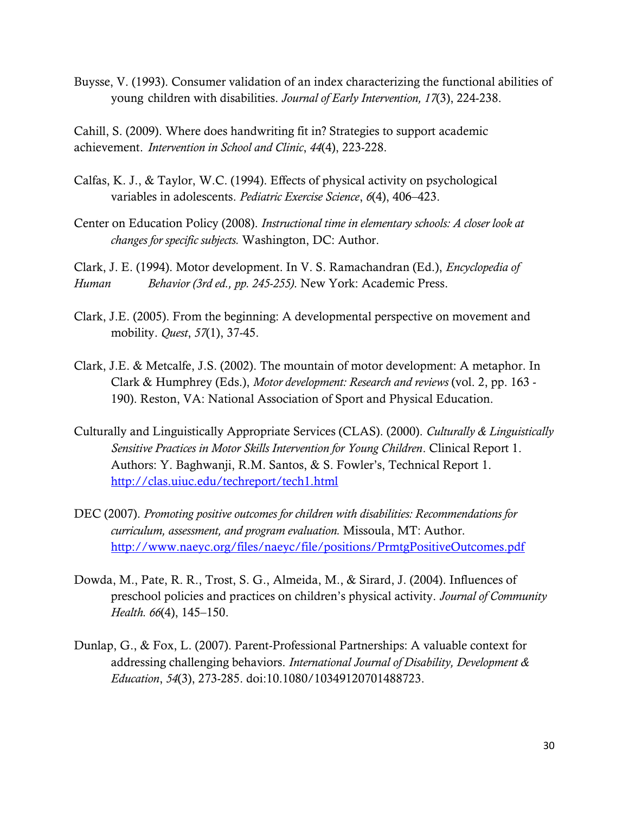Buysse, V. (1993). Consumer validation of an index characterizing the functional abilities of young children with disabilities. *Journal of Early Intervention, 17*(3), 224-238.

Cahill, S. (2009). Where does handwriting fit in? Strategies to support academic achievement. *Intervention in School and Clinic*, *44*(4), 223-228.

- Calfas, K. J., & Taylor, W.C. (1994). Effects of physical activity on psychological variables in adolescents. *Pediatric Exercise Science*, *6*(4), 406–423.
- Center on Education Policy (2008). *Instructional time in elementary schools: A closer look at changes for specific subjects.* Washington, DC: Author.

Clark, J. E. (1994). Motor development. In V. S. Ramachandran (Ed.), *Encyclopedia of Human Behavior (3rd ed., pp. 245-255)*. New York: Academic Press.

- Clark, J.E. (2005). From the beginning: A developmental perspective on movement and mobility. *Quest*, *57*(1), 37-45.
- Clark, J.E. & Metcalfe, J.S. (2002). The mountain of motor development: A metaphor. In Clark & Humphrey (Eds.), *Motor development: Research and reviews* (vol. 2, pp. 163 - 190). Reston, VA: National Association of Sport and Physical Education.
- Culturally and Linguistically Appropriate Services (CLAS). (2000). *Culturally & Linguistically Sensitive Practices in Motor Skills Intervention for Young Children*. Clinical Report 1. Authors: Y. Baghwanji, R.M. Santos, & S. Fowler's, Technical Report 1. <http://clas.uiuc.edu/techreport/tech1.html>
- DEC (2007). *Promoting positive outcomes for children with disabilities: Recommendations for curriculum, assessment, and program evaluation.* Missoula, MT: Author. <http://www.naeyc.org/files/naeyc/file/positions/PrmtgPositiveOutcomes.pdf>
- Dowda, M., Pate, R. R., Trost, S. G., Almeida, M., & Sirard, J. (2004). Influences of preschool policies and practices on children"s physical activity. *Journal of Community Health. 66*(4), 145–150.
- Dunlap, G., & Fox, L. (2007). Parent-Professional Partnerships: A valuable context for addressing challenging behaviors. *International Journal of Disability, Development & Education*, *54*(3), 273-285. doi:10.1080/10349120701488723.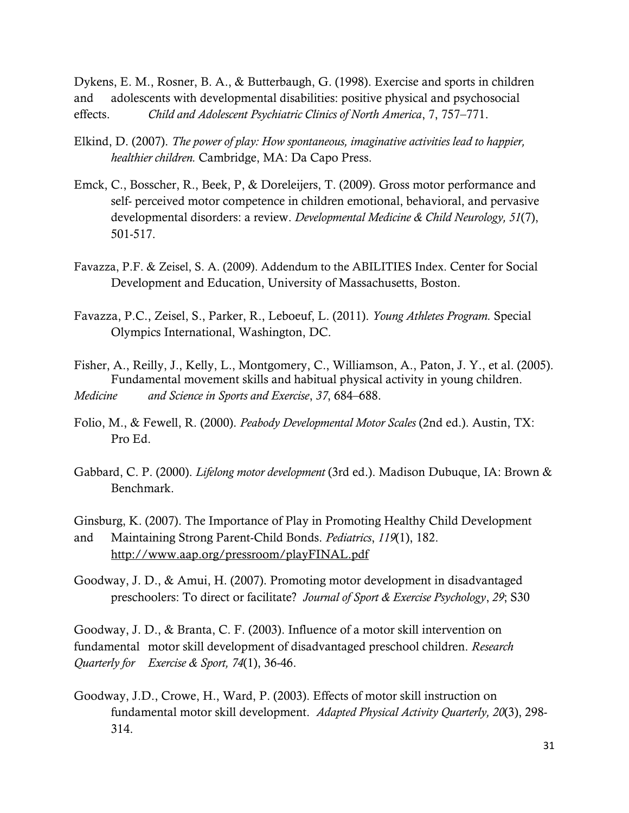Dykens, E. M., Rosner, B. A., & Butterbaugh, G. (1998). Exercise and sports in children and adolescents with developmental disabilities: positive physical and psychosocial effects. *Child and Adolescent Psychiatric Clinics of North America*, 7, 757–771.

- Elkind, D. (2007). *The power of play: How spontaneous, imaginative activities lead to happier, healthier children.* Cambridge, MA: Da Capo Press.
- Emck, C., Bosscher, R., Beek, P, & Doreleijers, T. (2009). Gross motor performance and self- perceived motor competence in children emotional, behavioral, and pervasive developmental disorders: a review. *Developmental Medicine & Child Neurology, 51*(7), 501-517.
- Favazza, P.F. & Zeisel, S. A. (2009). Addendum to the ABILITIES Index. Center for Social Development and Education, University of Massachusetts, Boston.
- Favazza, P.C., Zeisel, S., Parker, R., Leboeuf, L. (2011). *Young Athletes Program.* Special Olympics International, Washington, DC.
- Fisher, A., Reilly, J., Kelly, L., Montgomery, C., Williamson, A., Paton, J. Y., et al. (2005). Fundamental movement skills and habitual physical activity in young children. *Medicine and Science in Sports and Exercise*, *37*, 684–688.
- Folio, M., & Fewell, R. (2000). *Peabody Developmental Motor Scales* (2nd ed.). Austin, TX: Pro Ed.
- Gabbard, C. P. (2000). *Lifelong motor development* (3rd ed.). Madison Dubuque, IA: Brown & Benchmark.

Ginsburg, K. (2007). The Importance of Play in Promoting Healthy Child Development and Maintaining Strong Parent-Child Bonds. *Pediatrics*, *119*(1), 182. http://www.aap.org/pressroom/playFINAL.pdf

Goodway, J. D., & Amui, H. (2007). Promoting motor development in disadvantaged preschoolers: To direct or facilitate? *Journal of Sport & Exercise Psychology*, *29*; S30

Goodway, J. D., & Branta, C. F. (2003). Influence of a motor skill intervention on fundamental motor skill development of disadvantaged preschool children. *Research Quarterly for Exercise & Sport, 74*(1), 36-46.

Goodway, J.D., Crowe, H., Ward, P. (2003). Effects of motor skill instruction on fundamental motor skill development. *Adapted Physical Activity Quarterly, 20*(3), 298- 314.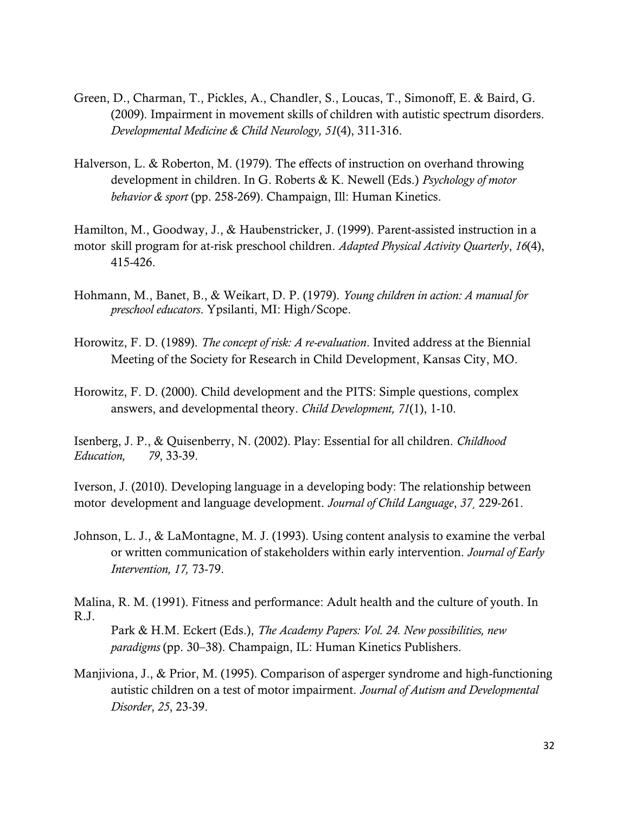- Green, D., Charman, T., Pickles, A., Chandler, S., Loucas, T., Simonoff, E. & Baird, G. (2009). Impairment in movement skills of children with autistic spectrum disorders. *Developmental Medicine & Child Neurology, 51*(4), 311-316.
- Halverson, L. & Roberton, M. (1979). The effects of instruction on overhand throwing development in children. In G. Roberts & K. Newell (Eds.) *Psychology of motor behavior & sport* (pp. 258-269). Champaign, Ill: Human Kinetics.

Hamilton, M., Goodway, J., & Haubenstricker, J. (1999). Parent-assisted instruction in a motor skill program for at-risk preschool children. *Adapted Physical Activity Quarterly*, *16*(4), 415-426.

- Hohmann, M., Banet, B., & Weikart, D. P. (1979). *Young children in action: A manual for preschool educators*. Ypsilanti, MI: High/Scope.
- Horowitz, F. D. (1989). *The concept of risk: A re-evaluation*. Invited address at the Biennial Meeting of the Society for Research in Child Development, Kansas City, MO.
- Horowitz, F. D. (2000). Child development and the PITS: Simple questions, complex answers, and developmental theory. *Child Development, 71*(1), 1-10.

Isenberg, J. P., & Quisenberry, N. (2002). Play: Essential for all children. *Childhood Education, 79*, 33-39.

Iverson, J. (2010). Developing language in a developing body: The relationship between motor development and language development. *Journal of Child Language*, *37¸* 229-261.

Johnson, L. J., & LaMontagne, M. J. (1993). Using content analysis to examine the verbal or written communication of stakeholders within early intervention. *Journal of Early Intervention, 17,* 73-79.

Malina, R. M. (1991). Fitness and performance: Adult health and the culture of youth. In R.J.

Park & H.M. Eckert (Eds.), *The Academy Papers: Vol. 24. New possibilities, new paradigms* (pp. 30–38). Champaign, IL: Human Kinetics Publishers.

Manjiviona, J., & Prior, M. (1995). Comparison of asperger syndrome and high-functioning autistic children on a test of motor impairment. *Journal of Autism and Developmental Disorder*, *25*, 23-39.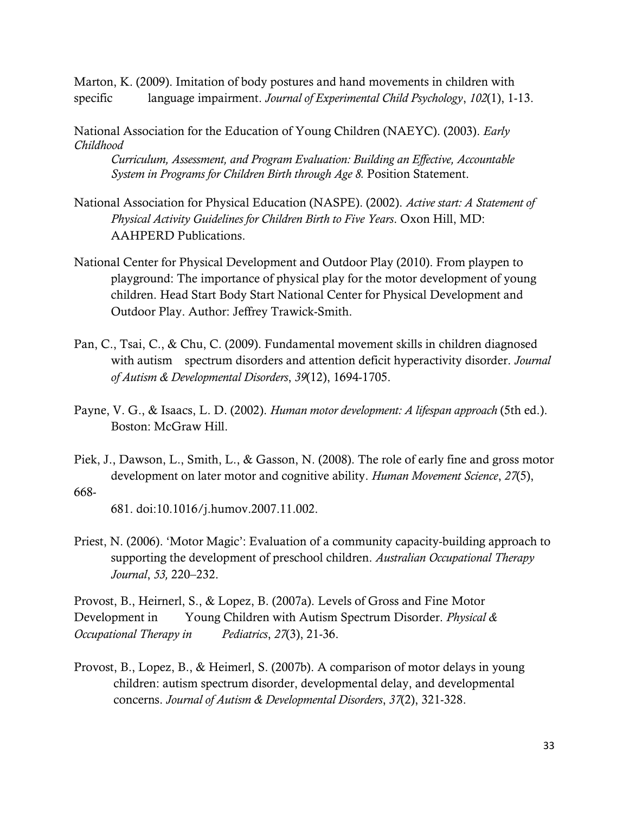Marton, K. (2009). Imitation of body postures and hand movements in children with specific language impairment. *Journal of Experimental Child Psychology*, *102*(1), 1-13.

National Association for the Education of Young Children (NAEYC). (2003). *Early Childhood* 

*Curriculum, Assessment, and Program Evaluation: Building an Effective, Accountable System in Programs for Children Birth through Age 8.* Position Statement.

- National Association for Physical Education (NASPE). (2002). *Active start: A Statement of Physical Activity Guidelines for Children Birth to Five Years*. Oxon Hill, MD: AAHPERD Publications.
- National Center for Physical Development and Outdoor Play (2010). From playpen to playground: The importance of physical play for the motor development of young children. Head Start Body Start National Center for Physical Development and Outdoor Play. Author: Jeffrey Trawick-Smith.
- Pan, C., Tsai, C., & Chu, C. (2009). Fundamental movement skills in children diagnosed with autism spectrum disorders and attention deficit hyperactivity disorder. *Journal of Autism & Developmental Disorders*, *39*(12), 1694-1705.
- Payne, V. G., & Isaacs, L. D. (2002). *Human motor development: A lifespan approach* (5th ed.). Boston: McGraw Hill.
- Piek, J., Dawson, L., Smith, L., & Gasson, N. (2008). The role of early fine and gross motor development on later motor and cognitive ability. *Human Movement Science*, *27*(5),
- 668-

681. doi:10.1016/j.humov.2007.11.002.

Priest, N. (2006). "Motor Magic": Evaluation of a community capacity-building approach to supporting the development of preschool children. *Australian Occupational Therapy Journal*, *53,* 220–232.

Provost, B., Heirnerl, S., & Lopez, B. (2007a). Levels of Gross and Fine Motor Development in Young Children with Autism Spectrum Disorder. *Physical & Occupational Therapy in Pediatrics*, *27*(3), 21-36.

Provost, B., Lopez, B., & Heimerl, S. (2007b). A comparison of motor delays in young children: autism spectrum disorder, developmental delay, and developmental concerns. *Journal of Autism & Developmental Disorders*, *37*(2), 321-328.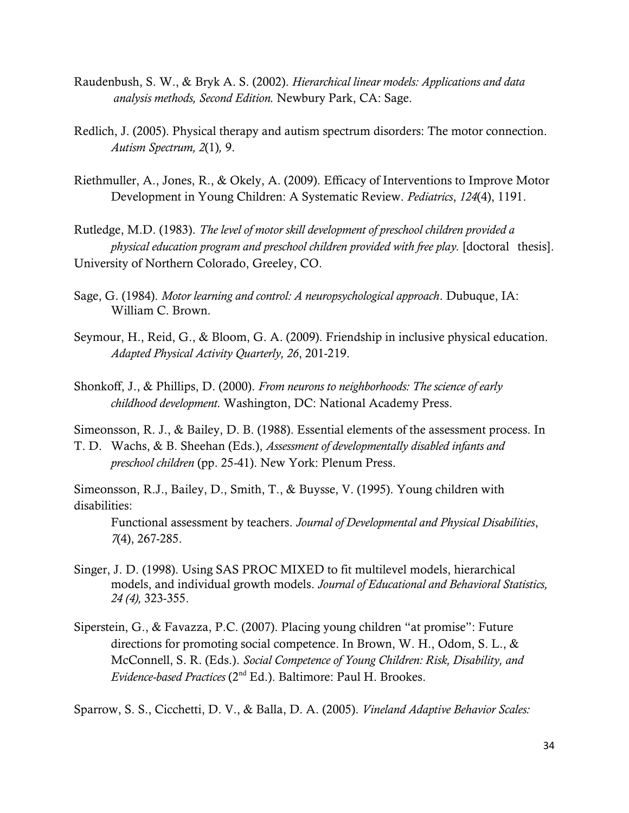- Raudenbush, S. W., & Bryk A. S. (2002). *Hierarchical linear models: Applications and data analysis methods, Second Edition.* Newbury Park, CA: Sage.
- Redlich, J. (2005). Physical therapy and autism spectrum disorders: The motor connection. *[Autism Spectrum, 2](https://pod51004.outlook.com/owa/redir.aspx?C=BXjqmglId0G1lOfq3l8eLZBQFQdTaM4IzX_woyVHW6HS9rpOvaG26YugiItVkTV2NHydsMH76CA.&URL=http%3a%2f%2fwww.autism-society-nh.org%2fvol2-1.pdf)*(1)*,* 9.
- Riethmuller, A., Jones, R., & Okely, A. (2009). Efficacy of Interventions to Improve Motor Development in Young Children: A Systematic Review. *Pediatrics*, *124*(4), 1191.
- Rutledge, M.D. (1983). *The level of motor skill development of preschool children provided a physical education program and preschool children provided with free play.* [doctoral thesis]. University of Northern Colorado, Greeley, CO.
- Sage, G. (1984). *Motor learning and control: A neuropsychological approach*. Dubuque, IA: William C. Brown.
- Seymour, H., Reid, G., & Bloom, G. A. (2009). Friendship in inclusive physical education. *Adapted Physical Activity Quarterly, 26*, 201-219.
- Shonkoff, J., & Phillips, D. (2000). *From neurons to neighborhoods: The science of early childhood development.* Washington, DC: National Academy Press.

Simeonsson, R. J., & Bailey, D. B. (1988). Essential elements of the assessment process. In

T. D. Wachs, & B. Sheehan (Eds.), *Assessment of developmentally disabled infants and preschool children* (pp. 25-41). New York: Plenum Press.

Simeonsson, R.J., Bailey, D., Smith, T., & Buysse, V. (1995). Young children with disabilities:

Functional assessment by teachers. *Journal of Developmental and Physical Disabilities*, *7*(4), 267-285.

- Singer, J. D. (1998). Using SAS PROC MIXED to fit multilevel models, hierarchical models, and individual growth models. *Journal of Educational and Behavioral Statistics, 24 (4),* 323-355.
- Siperstein, G., & Favazza, P.C. (2007). Placing young children "at promise": Future directions for promoting social competence. In Brown, W. H., Odom, S. L., & McConnell, S. R. (Eds.). *Social Competence of Young Children: Risk, Disability, and Evidence-based Practices* (2nd Ed.). Baltimore: Paul H. Brookes.

Sparrow, S. S., Cicchetti, D. V., & Balla, D. A. (2005). *Vineland Adaptive Behavior Scales:*